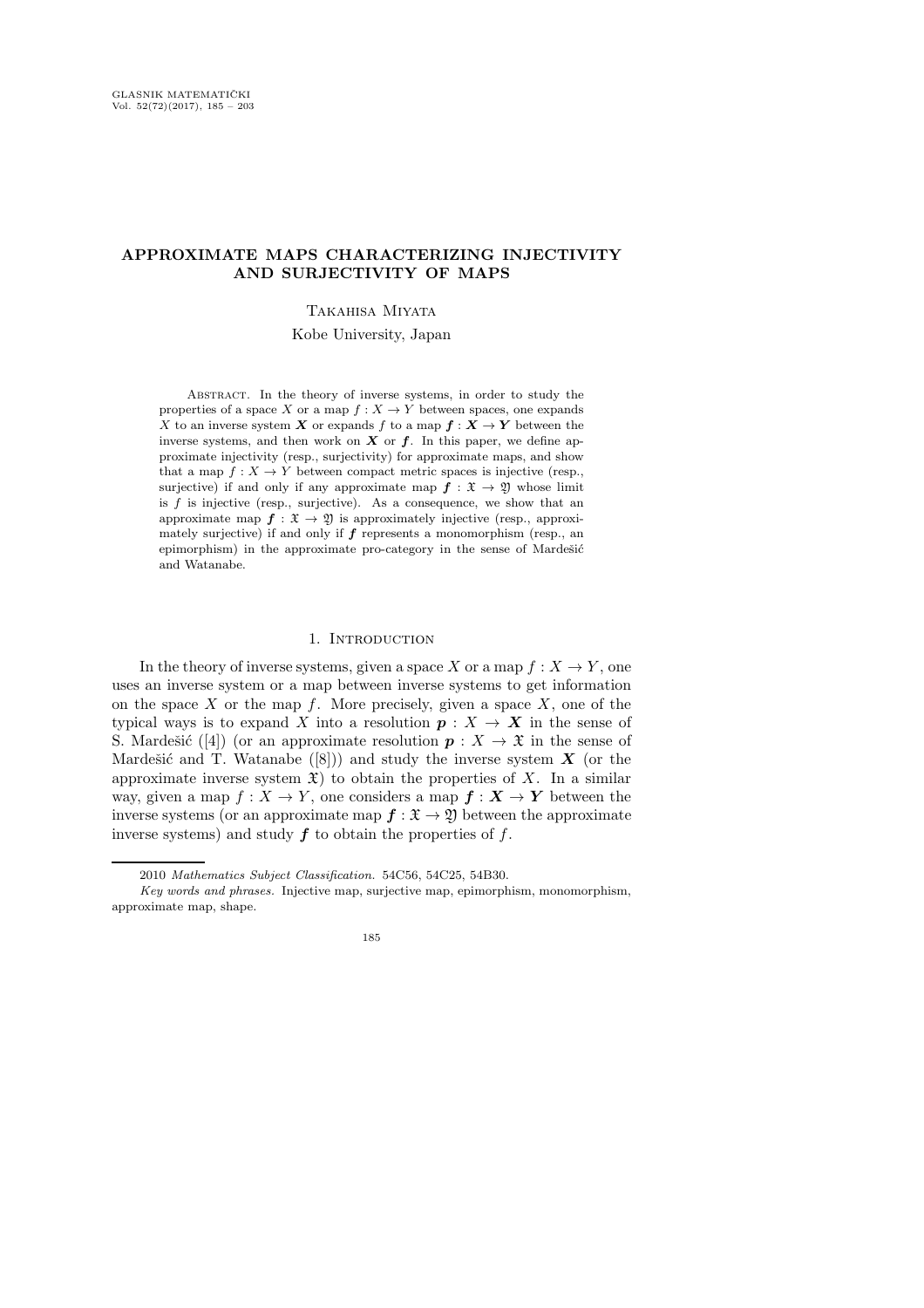# APPROXIMATE MAPS CHARACTERIZING INJECTIVITY AND SURJECTIVITY OF MAPS

## Takahisa Miyata

Kobe University, Japan

Abstract. In the theory of inverse systems, in order to study the properties of a space X or a map  $f: X \to Y$  between spaces, one expands X to an inverse system X or expands f to a map  $f: X \to Y$  between the inverse systems, and then work on  $\boldsymbol{X}$  or  $\boldsymbol{f}$ . In this paper, we define approximate injectivity (resp., surjectivity) for approximate maps, and show that a map  $f: X \to Y$  between compact metric spaces is injective (resp., surjective) if and only if any approximate map  $f : \mathfrak{X} \to \mathfrak{Y}$  whose limit is  $f$  is injective (resp., surjective). As a consequence, we show that an approximate map  $f : \mathfrak{X} \to \mathfrak{Y}$  is approximately injective (resp., approximately surjective) if and only if  $f$  represents a monomorphism (resp., an epimorphism) in the approximate pro-category in the sense of Mardešić and Watanabe.

## 1. INTRODUCTION

In the theory of inverse systems, given a space X or a map  $f: X \to Y$ , one uses an inverse system or a map between inverse systems to get information on the space  $X$  or the map  $f$ . More precisely, given a space  $X$ , one of the typical ways is to expand X into a resolution  $p: X \to X$  in the sense of S. Mardešić ([4]) (or an approximate resolution  $p : X \to \mathfrak{X}$  in the sense of Mardešić and T. Watanabe ([8])) and study the inverse system  $X$  (or the approximate inverse system  $\mathfrak{X}$ ) to obtain the properties of X. In a similar way, given a map  $f: X \to Y$ , one considers a map  $f: X \to Y$  between the inverse systems (or an approximate map  $f : \mathfrak{X} \to \mathfrak{Y}$ ) between the approximate inverse systems) and study  $f$  to obtain the properties of  $f$ .

Key words and phrases. Injective map, surjective map, epimorphism, monomorphism, approximate map, shape.



<sup>2010</sup> Mathematics Subject Classification. 54C56, 54C25, 54B30.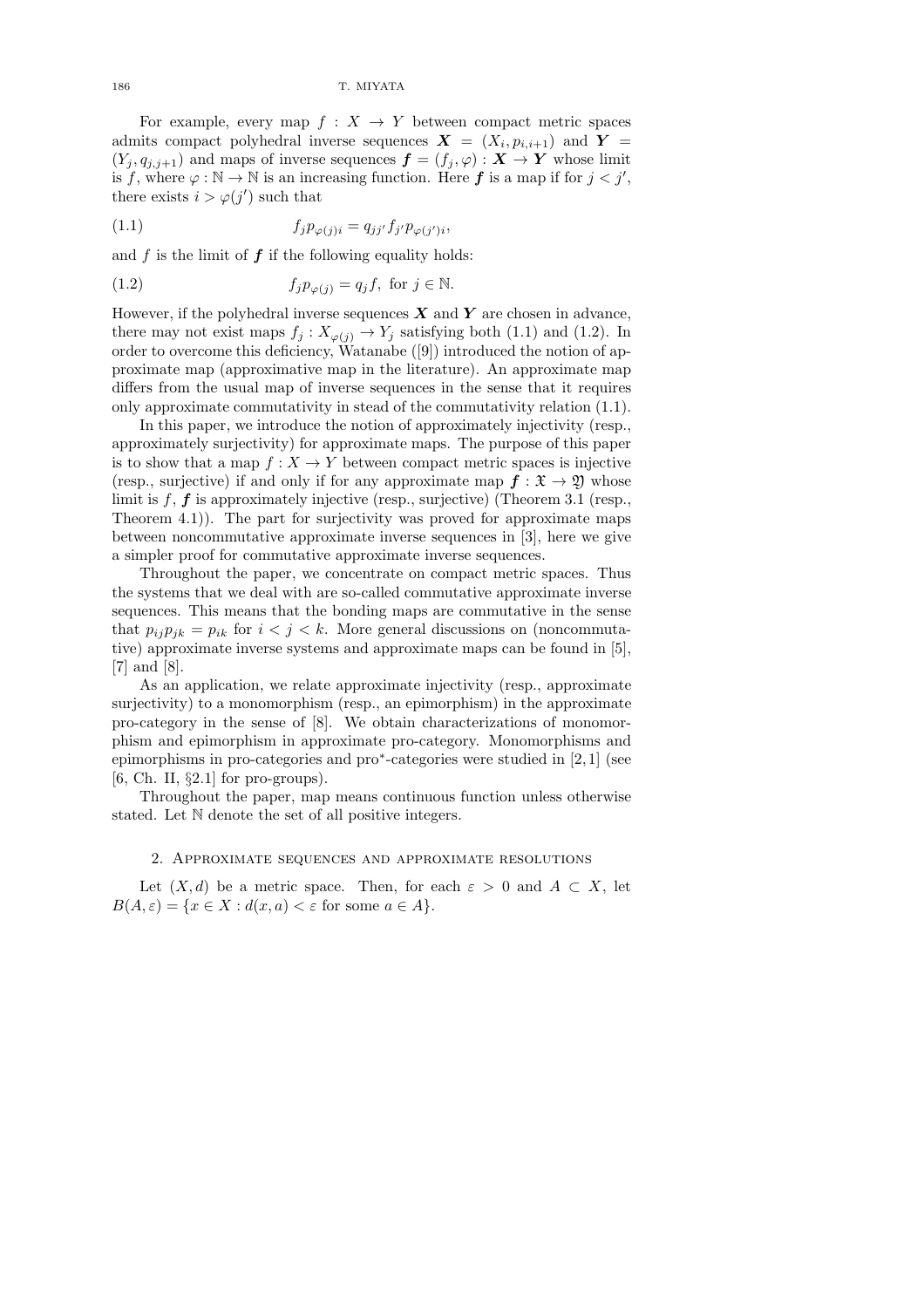For example, every map  $f : X \to Y$  between compact metric spaces admits compact polyhedral inverse sequences  $\boldsymbol{X} = (X_i, p_{i,i+1})$  and  $\boldsymbol{Y} =$  $(Y_j, q_{j,j+1})$  and maps of inverse sequences  $\boldsymbol{f} = (f_j, \varphi) : \boldsymbol{X} \to \boldsymbol{Y}$  whose limit is f, where  $\varphi : \mathbb{N} \to \mathbb{N}$  is an increasing function. Here f is a map if for  $j < j'$ , there exists  $i > \varphi(j')$  such that

$$
(1.1) \t\t f_j p_{\varphi(j)i} = q_{jj'} f_{j'} p_{\varphi(j')i},
$$

and  $f$  is the limit of  $f$  if the following equality holds:

(1.2) 
$$
f_j p_{\varphi(j)} = q_j f, \text{ for } j \in \mathbb{N}.
$$

However, if the polyhedral inverse sequences  $X$  and  $Y$  are chosen in advance, there may not exist maps  $f_j : X_{\varphi(j)} \to Y_j$  satisfying both (1.1) and (1.2). In order to overcome this deficiency, Watanabe ([9]) introduced the notion of approximate map (approximative map in the literature). An approximate map differs from the usual map of inverse sequences in the sense that it requires only approximate commutativity in stead of the commutativity relation (1.1).

In this paper, we introduce the notion of approximately injectivity (resp., approximately surjectivity) for approximate maps. The purpose of this paper is to show that a map  $f: X \to Y$  between compact metric spaces is injective (resp., surjective) if and only if for any approximate map  $f : \mathfrak{X} \to \mathfrak{Y}$  whose limit is  $f, f$  is approximately injective (resp., surjective) (Theorem 3.1 (resp., Theorem 4.1)). The part for surjectivity was proved for approximate maps between noncommutative approximate inverse sequences in [3], here we give a simpler proof for commutative approximate inverse sequences.

Throughout the paper, we concentrate on compact metric spaces. Thus the systems that we deal with are so-called commutative approximate inverse sequences. This means that the bonding maps are commutative in the sense that  $p_{ij}p_{jk} = p_{ik}$  for  $i < j < k$ . More general discussions on (noncommutative) approximate inverse systems and approximate maps can be found in [5], [7] and [8].

As an application, we relate approximate injectivity (resp., approximate surjectivity) to a monomorphism (resp., an epimorphism) in the approximate pro-category in the sense of [8]. We obtain characterizations of monomorphism and epimorphism in approximate pro-category. Monomorphisms and epimorphisms in pro-categories and pro<sup>∗</sup> -categories were studied in [2, 1] (see [6, Ch. II,  $\S 2.1$ ] for pro-groups).

Throughout the paper, map means continuous function unless otherwise stated. Let N denote the set of all positive integers.

## 2. Approximate sequences and approximate resolutions

Let  $(X, d)$  be a metric space. Then, for each  $\varepsilon > 0$  and  $A \subset X$ , let  $B(A, \varepsilon) = \{x \in X : d(x, a) < \varepsilon \text{ for some } a \in A\}.$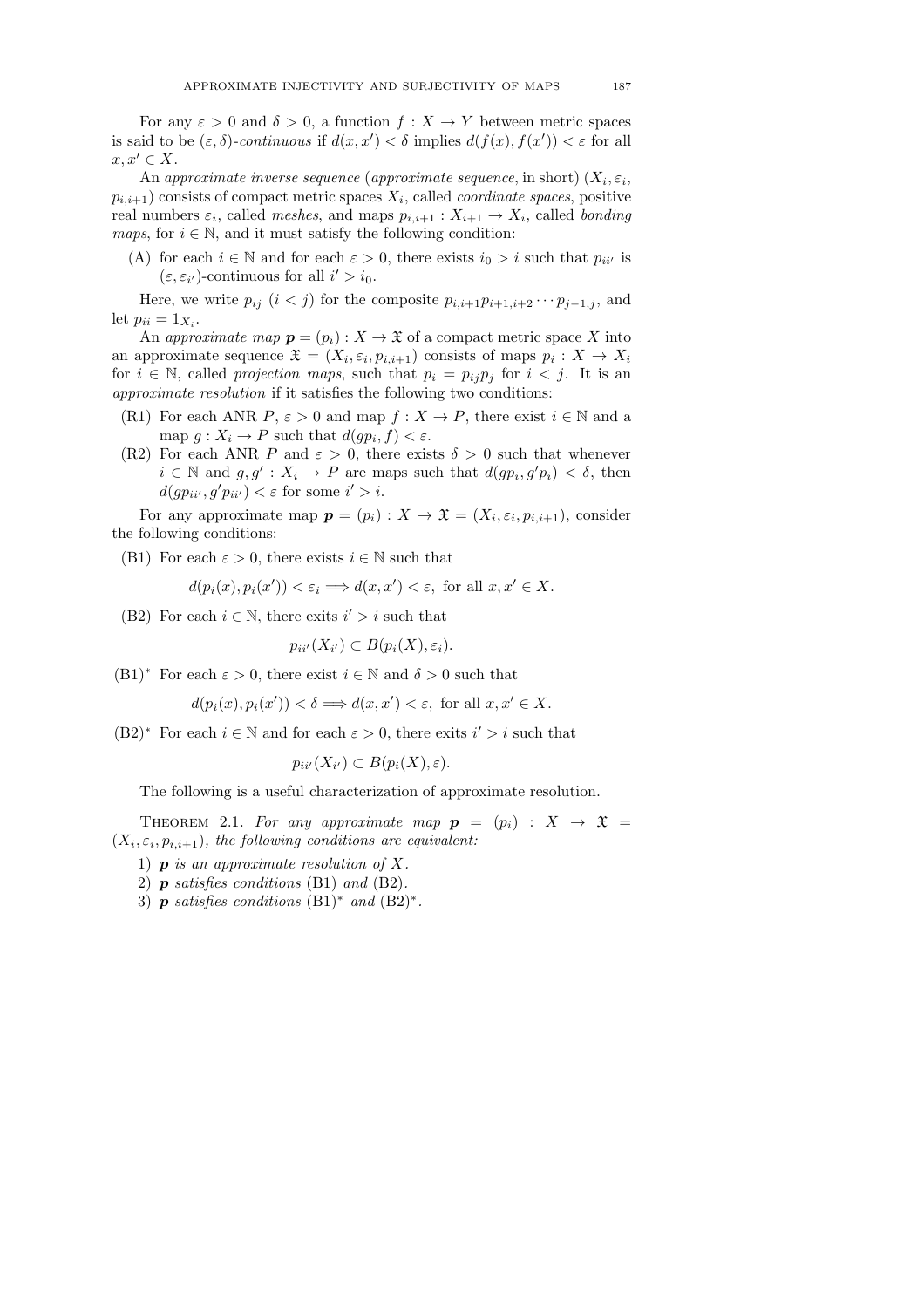For any  $\varepsilon > 0$  and  $\delta > 0$ , a function  $f: X \to Y$  between metric spaces is said to be  $(\varepsilon, \delta)$ -continuous if  $d(x, x') < \delta$  implies  $d(f(x), f(x')) < \varepsilon$  for all  $x, x' \in X$ .

An *approximate inverse sequence (approximate sequence*, in short)  $(X_i, \varepsilon_i,$  $p_{i,i+1}$ ) consists of compact metric spaces  $X_i$ , called *coordinate spaces*, positive real numbers  $\varepsilon_i$ , called *meshes*, and maps  $p_{i,i+1}: X_{i+1} \to X_i$ , called *bonding maps*, for  $i \in \mathbb{N}$ , and it must satisfy the following condition:

(A) for each  $i \in \mathbb{N}$  and for each  $\varepsilon > 0$ , there exists  $i_0 > i$  such that  $p_{ii'}$  is  $(\varepsilon, \varepsilon_{i'})$ -continuous for all  $i' > i_0$ .

Here, we write  $p_{ij}$   $(i < j)$  for the composite  $p_{i,i+1}p_{i+1,i+2}\cdots p_{j-1,j}$ , and let  $p_{ii} = 1_{X_i}$ .

An *approximate map*  $p = (p_i) : X \to \mathfrak{X}$  of a compact metric space X into an approximate sequence  $\mathfrak{X} = (X_i, \varepsilon_i, p_{i,i+1})$  consists of maps  $p_i : X \to X_i$ for  $i \in \mathbb{N}$ , called *projection maps*, such that  $p_i = p_{ij}p_j$  for  $i < j$ . It is an *approximate resolution* if it satisfies the following two conditions:

- (R1) For each ANR  $P, \varepsilon > 0$  and map  $f: X \to P$ , there exist  $i \in \mathbb{N}$  and a map  $g: X_i \to P$  such that  $d(gp_i, f) < \varepsilon$ .
- (R2) For each ANR P and  $\varepsilon > 0$ , there exists  $\delta > 0$  such that whenever  $i \in \mathbb{N}$  and  $g, g' : X_i \to P$  are maps such that  $d(gp_i, g'p_i) < \delta$ , then  $d(gp_{ii'}, g'p_{ii'}) < \varepsilon$  for some  $i' > i$ .

For any approximate map  $p = (p_i) : X \to \mathfrak{X} = (X_i, \varepsilon_i, p_{i,i+1}),$  consider the following conditions:

(B1) For each  $\varepsilon > 0$ , there exists  $i \in \mathbb{N}$  such that

$$
d(p_i(x), p_i(x')) < \varepsilon_i \Longrightarrow d(x, x') < \varepsilon, \text{ for all } x, x' \in X.
$$

(B2) For each  $i \in \mathbb{N}$ , there exits  $i' > i$  such that

$$
p_{ii'}(X_{i'}) \subset B(p_i(X), \varepsilon_i).
$$

 $(B1)^*$  For each  $\varepsilon > 0$ , there exist  $i \in \mathbb{N}$  and  $\delta > 0$  such that

 $d(p_i(x), p_i(x')) < \delta \Longrightarrow d(x, x') < \varepsilon$ , for all  $x, x' \in X$ .

(B2)<sup>∗</sup> For each  $i \in \mathbb{N}$  and for each  $\varepsilon > 0$ , there exits  $i' > i$  such that

$$
p_{ii'}(X_{i'}) \subset B(p_i(X), \varepsilon).
$$

The following is a useful characterization of approximate resolution.

THEOREM 2.1. For any approximate map  $p = (p_i) : X \rightarrow \mathfrak{X} =$  $(X_i, \varepsilon_i, p_{i,i+1})$ , the following conditions are equivalent:

- 1) p *is an approximate resolution of* X*.*
- 2) p *satisfies conditions* (B1) *and* (B2)*.*
- 3) **p** satisfies conditions  $(B1)^*$  and  $(B2)^*$ .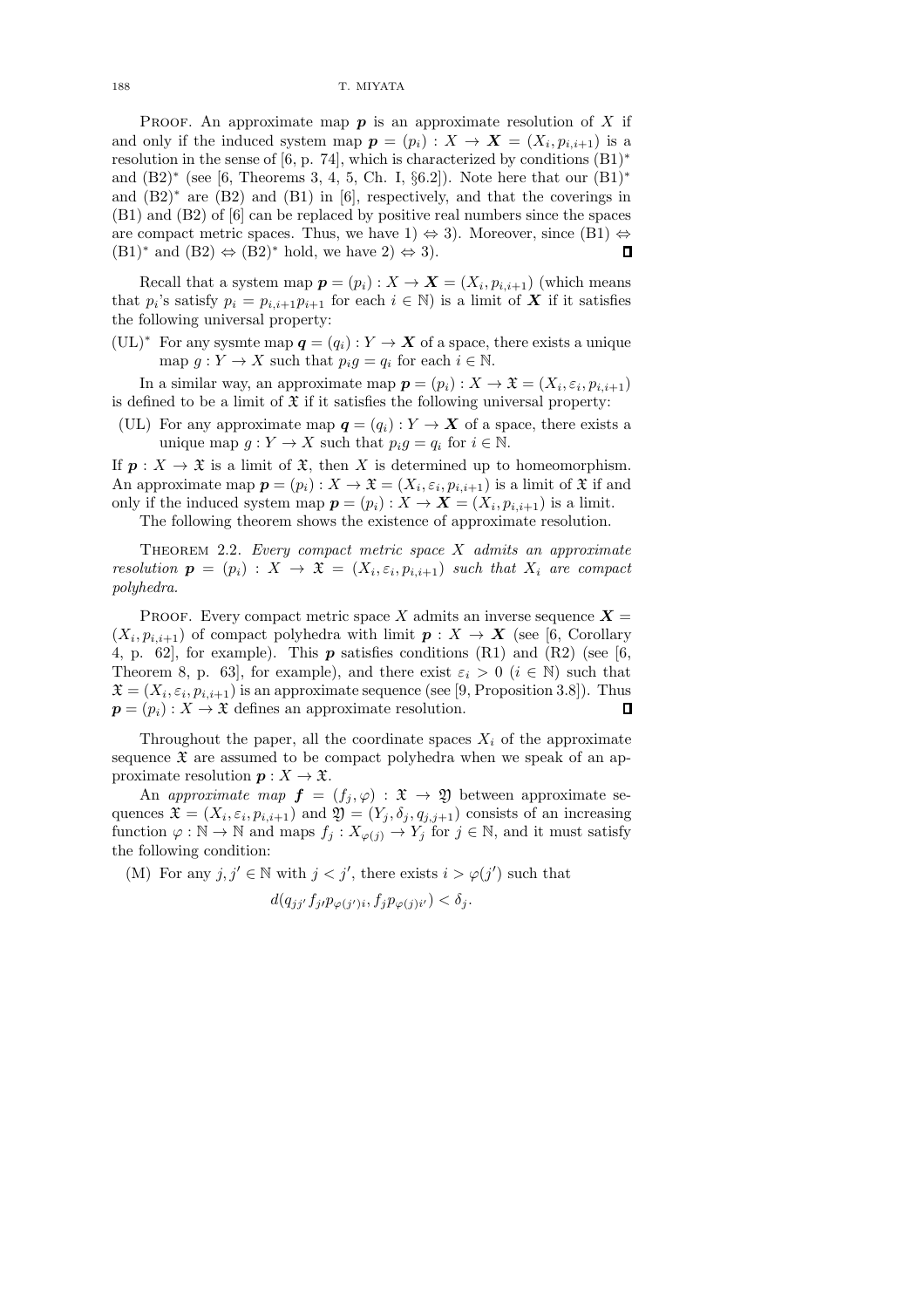PROOF. An approximate map  $p$  is an approximate resolution of X if and only if the induced system map  $p = (p_i) : X \to \mathbf{X} = (X_i, p_{i,i+1})$  is a resolution in the sense of [6, p. 74], which is characterized by conditions (B1)<sup>∗</sup> and (B2)<sup>∗</sup> (see [6, Theorems 3, 4, 5, Ch. I, §6.2]). Note here that our (B1)<sup>∗</sup> and  $(B2)$ <sup>\*</sup> are  $(B2)$  and  $(B1)$  in [6], respectively, and that the coverings in (B1) and (B2) of [6] can be replaced by positive real numbers since the spaces are compact metric spaces. Thus, we have 1)  $\Leftrightarrow$  3). Moreover, since (B1)  $\Leftrightarrow$  $\Box$  $(B1)^*$  and  $(B2) \Leftrightarrow (B2)^*$  hold, we have  $2) \Leftrightarrow 3$ .

Recall that a system map  $p = (p_i) : X \to \mathbf{X} = (X_i, p_{i,i+1})$  (which means that  $p_i$ 's satisfy  $p_i = p_{i,i+1}p_{i+1}$  for each  $i \in \mathbb{N}$ ) is a limit of **X** if it satisfies the following universal property:

(UL)<sup>\*</sup> For any sysmte map  $q = (q_i) : Y \to X$  of a space, there exists a unique map  $g: Y \to X$  such that  $p_i g = q_i$  for each  $i \in \mathbb{N}$ .

In a similar way, an approximate map  $p = (p_i) : X \to \mathfrak{X} = (X_i, \varepsilon_i, p_{i,i+1})$ is defined to be a limit of  $\mathfrak X$  if it satisfies the following universal property:

(UL) For any approximate map  $q = (q_i) : Y \to X$  of a space, there exists a unique map  $g: Y \to X$  such that  $p_i g = q_i$  for  $i \in \mathbb{N}$ .

If  $p: X \to \mathfrak{X}$  is a limit of  $\mathfrak{X}$ , then X is determined up to homeomorphism. An approximate map  $p = (p_i) : X \to \mathfrak{X} = (X_i, \varepsilon_i, p_{i,i+1})$  is a limit of  $\mathfrak{X}$  if and only if the induced system map  $p = (p_i) : X \to \mathbf{X} = (X_i, p_{i,i+1})$  is a limit.

The following theorem shows the existence of approximate resolution.

Theorem 2.2. *Every compact metric space* X *admits an approximate resolution*  $p = (p_i) : X \to \mathfrak{X} = (X_i, \varepsilon_i, p_{i,i+1})$  *such that*  $X_i$  *are compact polyhedra.*

PROOF. Every compact metric space X admits an inverse sequence  $X =$  $(X_i, p_{i,i+1})$  of compact polyhedra with limit  $p: X \to X$  (see [6, Corollary 4, p. 62], for example). This  $p$  satisfies conditions (R1) and (R2) (see [6, Theorem 8, p. 63, for example), and there exist  $\varepsilon_i > 0$   $(i \in \mathbb{N})$  such that  $\mathfrak{X} = (X_i, \varepsilon_i, p_{i,i+1})$  is an approximate sequence (see [9, Proposition 3.8]). Thus  $\mathbf{p} = (p_i) : X \to \mathfrak{X}$  defines an approximate resolution.  $\Box$ 

Throughout the paper, all the coordinate spaces  $X_i$  of the approximate sequence  $\mathfrak X$  are assumed to be compact polyhedra when we speak of an approximate resolution  $p: X \to \mathfrak{X}$ .

An *approximate map*  $\mathbf{f} = (f_i, \varphi) : \mathfrak{X} \to \mathfrak{Y}$  between approximate sequences  $\mathfrak{X} = (X_i, \varepsilon_i, p_{i,i+1})$  and  $\mathfrak{Y} = (Y_j, \delta_j, q_{j,j+1})$  consists of an increasing function  $\varphi : \mathbb{N} \to \mathbb{N}$  and maps  $f_j : X_{\varphi(j)} \to Y_j$  for  $j \in \mathbb{N}$ , and it must satisfy the following condition:

(M) For any  $j, j' \in \mathbb{N}$  with  $j < j'$ , there exists  $i > \varphi(j')$  such that

$$
d(q_{jj'}f_{j'}p_{\varphi(j')i},f_jp_{\varphi(j)i'})<\delta_j.
$$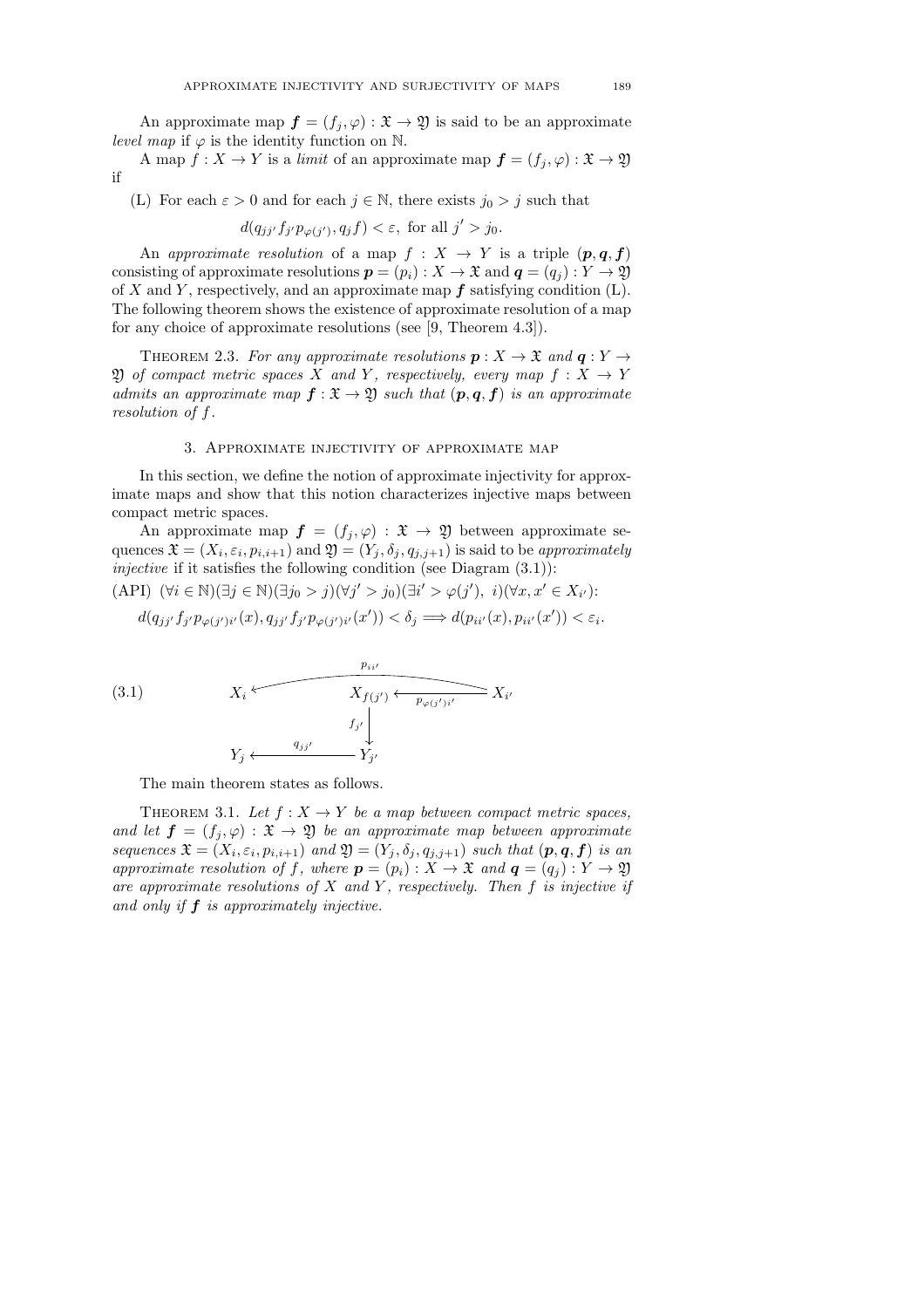An approximate map  $f = (f_j, \varphi) : \mathfrak{X} \to \mathfrak{Y}$  is said to be an approximate *level map* if  $\varphi$  is the identity function on N.

A map  $f: X \to Y$  is a *limit* of an approximate map  $f = (f_j, \varphi) : \mathfrak{X} \to \mathfrak{Y}$ if

(L) For each  $\varepsilon > 0$  and for each  $j \in \mathbb{N}$ , there exists  $j_0 > j$  such that

$$
d(q_{jj'}f_{j'}p_{\varphi(j')}, q_jf) < \varepsilon, \text{ for all } j' > j_0.
$$

An *approximate resolution* of a map  $f : X \rightarrow Y$  is a triple  $(p, q, f)$ consisting of approximate resolutions  $p = (p_i) : X \to \mathfrak{X}$  and  $q = (q_i) : Y \to \mathfrak{Y}$ of X and Y, respectively, and an approximate map  $f$  satisfying condition (L). The following theorem shows the existence of approximate resolution of a map for any choice of approximate resolutions (see [9, Theorem 4.3]).

THEOREM 2.3. *For any approximate resolutions*  $p: X \to \mathfrak{X}$  and  $q: Y \to Y$ 2) *of compact metric spaces* X *and* Y, *respectively, every map*  $f : X \rightarrow Y$ *admits an approximate map*  $f : \mathfrak{X} \to \mathfrak{Y}$  *such that*  $(p, q, f)$  *is an approximate resolution of* f*.*

## 3. Approximate injectivity of approximate map

In this section, we define the notion of approximate injectivity for approximate maps and show that this notion characterizes injective maps between compact metric spaces.

An approximate map  $f = (f_j, \varphi) : \mathfrak{X} \to \mathfrak{Y}$  between approximate sequences  $\mathfrak{X} = (X_i, \varepsilon_i, p_{i,i+1})$  and  $\mathfrak{Y} = (Y_j, \delta_j, q_{j,j+1})$  is said to be *approximately injective* if it satisfies the following condition (see Diagram  $(3.1)$ ):

 $(API) \quad (\forall i \in \mathbb{N})(\exists j \in \mathbb{N})(\exists j_0 > j)(\forall j' > j_0)(\exists i' > \varphi(j'), i)(\forall x, x' \in X_{i'}):$  $d(q_{jj'} f_{j'} p_{\varphi(j')i'}(x), q_{jj'} f_{j'} p_{\varphi(j')i'}(x')) < \delta_j \Longrightarrow d(p_{ii'}(x), p_{ii'}(x')) < \varepsilon_i.$ 

(3.1) 
$$
X_{i} \longleftarrow \qquad \qquad Y_{f(j')} \longleftarrow \qquad \qquad Y_{i'}
$$
\n
$$
Y_{j} \longleftarrow \qquad \qquad Y_{j'}
$$
\n
$$
Y_{j} \longleftarrow \qquad \qquad Y_{j'}
$$

The main theorem states as follows.

THEOREM 3.1. Let  $f: X \to Y$  be a map between compact metric spaces, *and let*  $f = (f_j, \varphi) : \mathfrak{X} \to \mathfrak{Y}$  *be an approximate map between approximate*  $sequences \mathfrak{X} = (X_i, \varepsilon_i, p_{i,i+1})$  and  $\mathfrak{Y} = (Y_j, \delta_j, q_{j,j+1})$  such that  $(p, q, f)$  is an *approximate resolution of* f*, where*  $p = (p_i) : X \to \mathfrak{X}$  *and*  $q = (q_i) : Y \to \mathfrak{Y}$ *are approximate resolutions of* X *and* Y *, respectively. Then* f *is injective if and only if* f *is approximately injective.*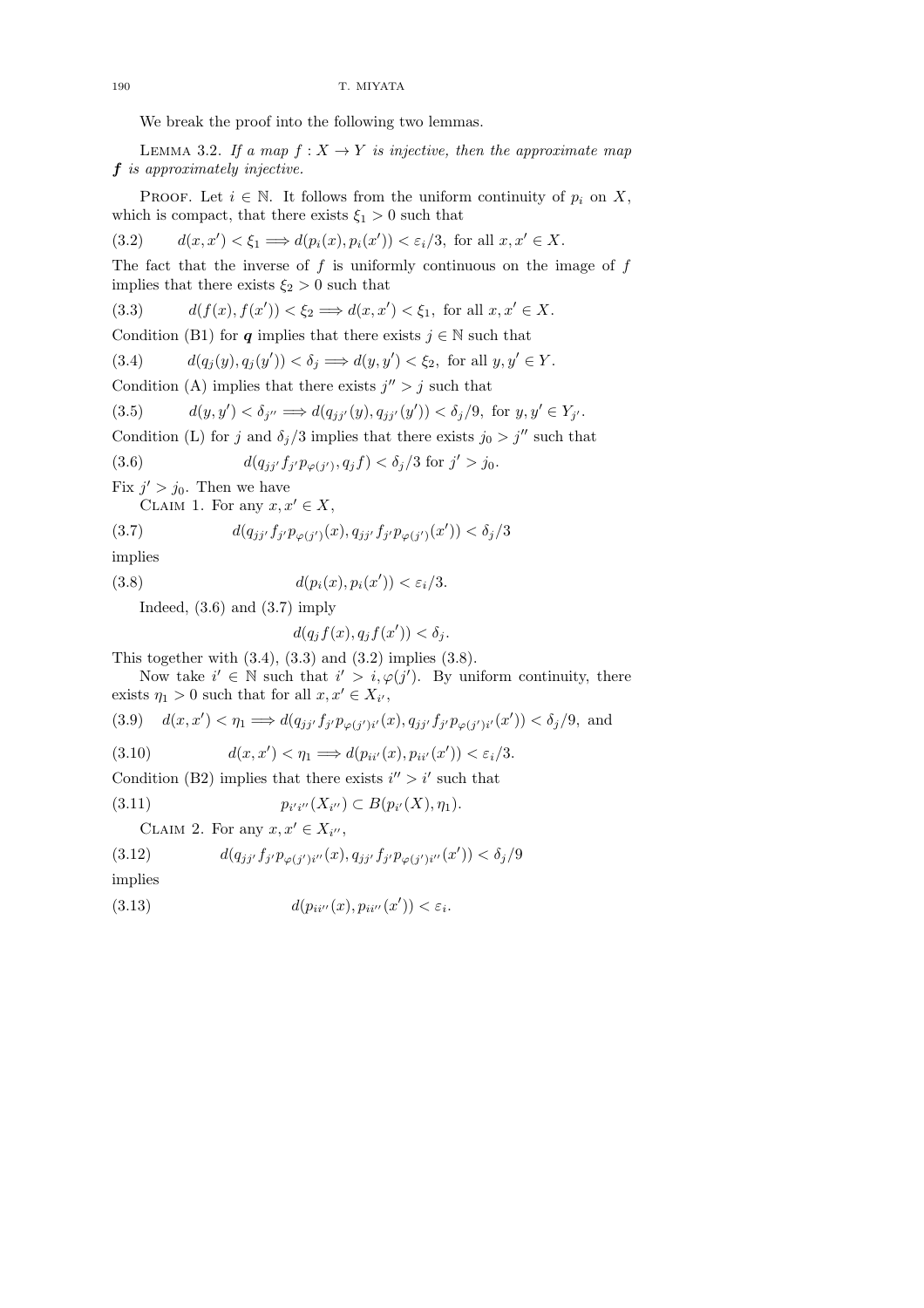We break the proof into the following two lemmas.

LEMMA 3.2. If a map  $f: X \to Y$  is injective, then the approximate map f *is approximately injective.*

PROOF. Let  $i \in \mathbb{N}$ . It follows from the uniform continuity of  $p_i$  on X, which is compact, that there exists  $\xi_1 > 0$  such that

(3.2)  $d(x, x') < \xi_1 \Longrightarrow d(p_i(x), p_i(x')) < \varepsilon_i/3$ , for all  $x, x' \in X$ .

The fact that the inverse of  $f$  is uniformly continuous on the image of  $f$ implies that there exists  $\xi_2 > 0$  such that

(3.3)  $d(f(x), f(x')) < \xi_2 \Longrightarrow d(x, x') < \xi_1$ , for all  $x, x' \in X$ .

Condition (B1) for q implies that there exists  $j \in \mathbb{N}$  such that

(3.4)  $d(q_j(y), q_j(y')) < \delta_j \Longrightarrow d(y, y') < \xi_2$ , for all  $y, y' \in Y$ .

Condition (A) implies that there exists  $j'' > j$  such that

(3.5) 
$$
d(y, y') < \delta_{j''} \Longrightarrow d(q_{jj'}(y), q_{jj'}(y')) < \delta_j/9, \text{ for } y, y' \in Y_{j'}.
$$

Condition (L) for j and  $\delta_i/3$  implies that there exists  $j_0 > j''$  such that

(3.6) 
$$
d(q_{jj'} f_{j'} p_{\varphi(j')}, q_j f) < \delta_j/3 \text{ for } j' > j_0.
$$

Fix  $j' > j_0$ . Then we have

CLAIM 1. For any  $x, x' \in X$ ,

(3.7) 
$$
d(q_{jj'} f_{j'} p_{\varphi(j')}(x), q_{jj'} f_{j'} p_{\varphi(j')}(x')) < \delta_j/3
$$

implies

(3.8) 
$$
d(p_i(x), p_i(x')) < \varepsilon_i/3.
$$

Indeed,  $(3.6)$  and  $(3.7)$  imply

$$
d(q_j f(x), q_j f(x')) < \delta_j.
$$

This together with  $(3.4)$ ,  $(3.3)$  and  $(3.2)$  implies  $(3.8)$ .

Now take  $i' \in \mathbb{N}$  such that  $i' > i, \varphi(j')$ . By uniform continuity, there exists  $\eta_1 > 0$  such that for all  $x, x' \in X_{i'}$ ,

(3.9)  $d(x, x') < \eta_1 \Longrightarrow d(q_{jj'} f_{j'} p_{\varphi(j')i'}(x), q_{jj'} f_{j'} p_{\varphi(j')i'}(x')) < \delta_j/9$ , and

(3.10) 
$$
d(x, x') < \eta_1 \Longrightarrow d(p_{ii'}(x), p_{ii'}(x')) < \varepsilon_i/3.
$$

Condition (B2) implies that there exists  $i'' > i'$  such that

(3.11) 
$$
p_{i'i''}(X_{i''}) \subset B(p_{i'}(X), \eta_1).
$$

CLAIM 2. For any  $x, x' \in X_{i''}$ ,

(3.12) 
$$
d(q_{jj'} f_{j'} p_{\varphi(j')i''}(x), q_{jj'} f_{j'} p_{\varphi(j')i''}(x')) < \delta_j/9
$$

implies

$$
(3.13) \t d(p_{ii''}(x), p_{ii''}(x')) < \varepsilon_i.
$$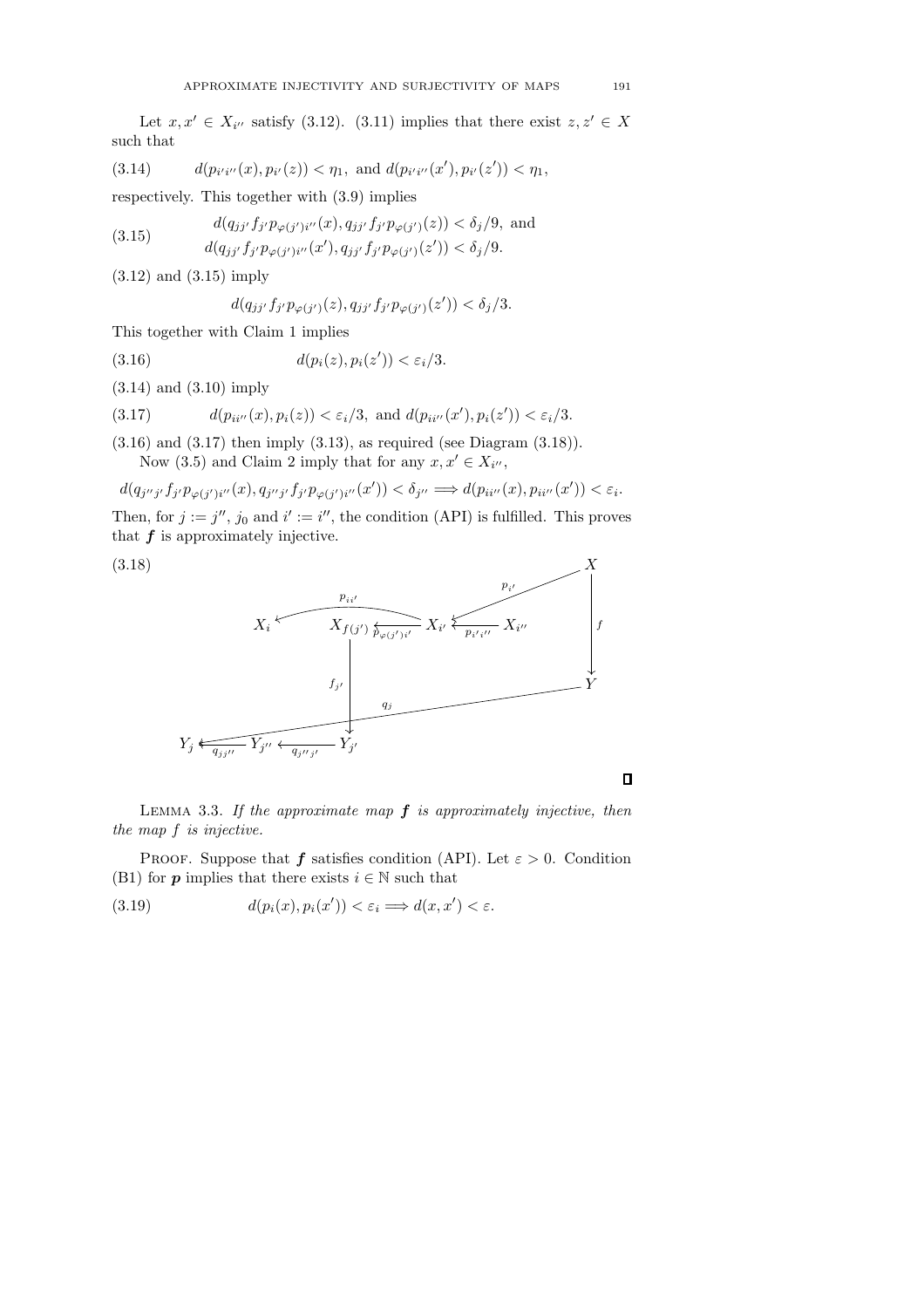Let  $x, x' \in X_{i''}$  satisfy (3.12). (3.11) implies that there exist  $z, z' \in X$ such that

(3.14) 
$$
d(p_{i'i''}(x), p_{i'}(z)) < \eta_1, \text{ and } d(p_{i'i''}(x'), p_{i'}(z')) < \eta_1,
$$

respectively. This together with (3.9) implies

(3.15) 
$$
d(q_{jj'} f_{j'} p_{\varphi(j')i''}(x), q_{jj'} f_{j'} p_{\varphi(j')}(z)) < \delta_j/9, \text{ and}
$$

$$
d(q_{jj'} f_{j'} p_{\varphi(j')i''}(x'), q_{jj'} f_{j'} p_{\varphi(j')}(z')) < \delta_j/9.
$$

(3.12) and (3.15) imply

$$
d(q_{jj'}f_{j'}p_{\varphi(j')}(z),q_{jj'}f_{j'}p_{\varphi(j')}(z')) < \delta_j/3.
$$

This together with Claim 1 implies

(3.16) 
$$
d(p_i(z), p_i(z')) < \varepsilon_i/3.
$$

(3.14) and (3.10) imply

(3.17) 
$$
d(p_{ii''}(x), p_i(z)) < \varepsilon_i/3, \text{ and } d(p_{ii''}(x'), p_i(z')) < \varepsilon_i/3.
$$

 $(3.16)$  and  $(3.17)$  then imply  $(3.13)$ , as required (see Diagram  $(3.18)$ ). Now (3.5) and Claim 2 imply that for any  $x, x' \in X_{i''}$ ,

 $d(q_{j''j'}f_{j'}p_{\varphi(j')i''}(x), q_{j''j'}f_{j'}p_{\varphi(j')i''}(x')) < \delta_{j''} \implies d(p_{ii''}(x), p_{ii''}(x')) < \varepsilon_i.$ 

Then, for  $j := j''$ ,  $j_0$  and  $i' := i''$ , the condition (API) is fulfilled. This proves that  $f$  is approximately injective.





Lemma 3.3. *If the approximate map* f *is approximately injective, then the map* f *is injective.*

PROOF. Suppose that f satisfies condition (API). Let  $\varepsilon > 0$ . Condition (B1) for  $p$  implies that there exists  $i \in \mathbb{N}$  such that

(3.19) 
$$
d(p_i(x), p_i(x')) < \varepsilon_i \Longrightarrow d(x, x') < \varepsilon.
$$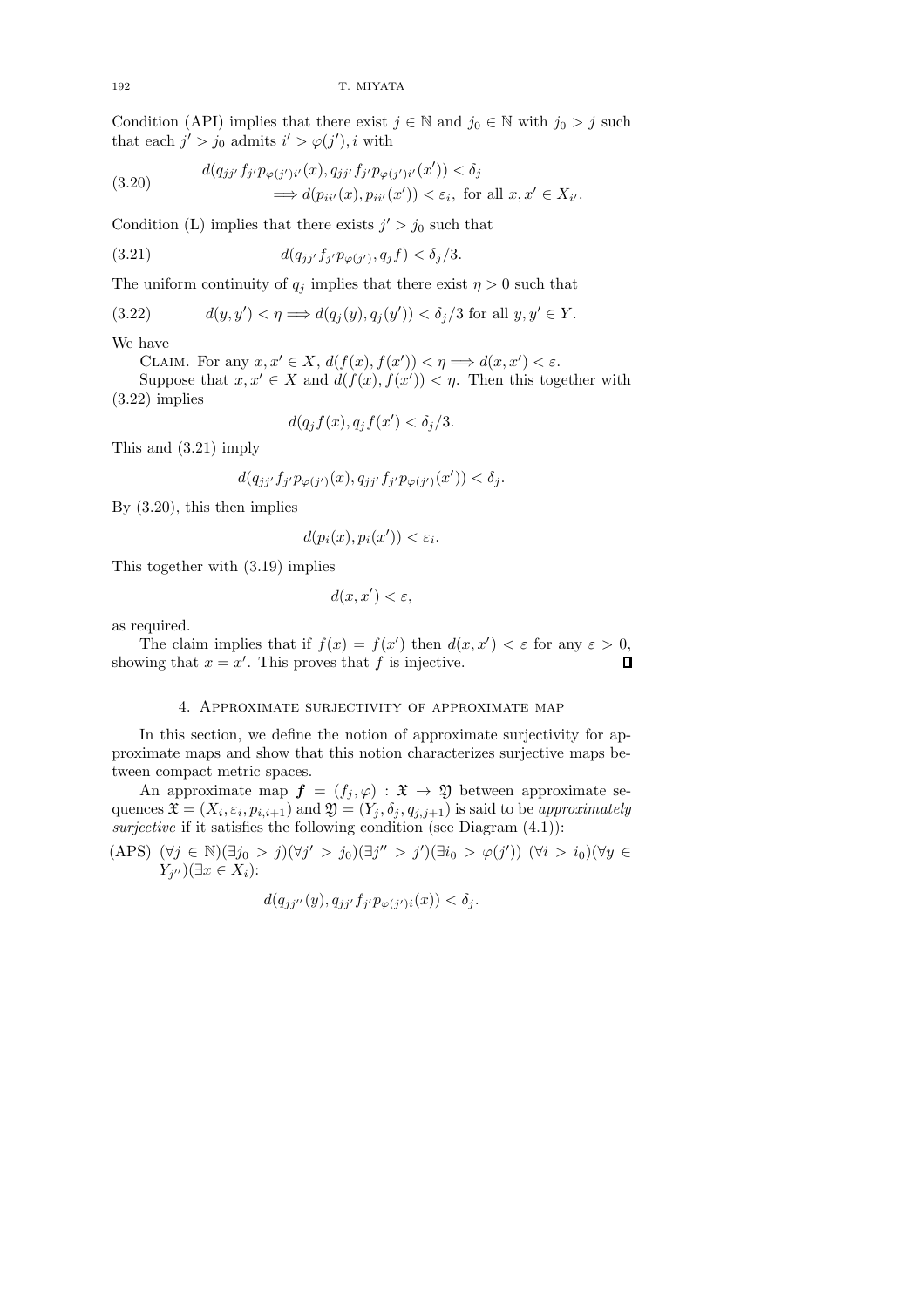Condition (API) implies that there exist  $j \in \mathbb{N}$  and  $j_0 \in \mathbb{N}$  with  $j_0 > j$  such that each  $j' > j_0$  admits  $i' > \varphi(j')$ , i with

(3.20) 
$$
d(q_{jj'} f_{j'} p_{\varphi(j')i'}(x), q_{jj'} f_{j'} p_{\varphi(j')i'}(x')) < \delta_j
$$

$$
\implies d(p_{ii'}(x), p_{ii'}(x')) < \varepsilon_i, \text{ for all } x, x' \in X_{i'}.
$$

Condition (L) implies that there exists  $j' > j_0$  such that

(3.21) 
$$
d(q_{jj'} f_{j'} p_{\varphi(j')}, q_j f) < \delta_j/3.
$$

The uniform continuity of  $q_i$  implies that there exist  $\eta > 0$  such that

(3.22) 
$$
d(y, y') < \eta \Longrightarrow d(q_j(y), q_j(y')) < \delta_j/3 \text{ for all } y, y' \in Y.
$$

We have

CLAIM. For any  $x, x' \in X$ ,  $d(f(x), f(x')) < \eta \Longrightarrow d(x, x') < \varepsilon$ .

Suppose that  $x, x' \in X$  and  $d(f(x), f(x')) < \eta$ . Then this together with (3.22) implies

$$
d(q_j f(x), q_j f(x') < \delta_j/3.
$$

This and (3.21) imply

$$
d(q_{jj'}f_{j'}p_{\varphi(j')}(x), q_{jj'}f_{j'}p_{\varphi(j')}(x')) < \delta_j.
$$

By (3.20), this then implies

$$
d(p_i(x), p_i(x')) < \varepsilon_i.
$$

This together with (3.19) implies

$$
d(x, x') < \varepsilon
$$

as required.

The claim implies that if  $f(x) = f(x')$  then  $d(x, x') < \varepsilon$  for any  $\varepsilon > 0$ , showing that  $x = x'$ . This proves that f is injective.  $\Box$ 

# 4. Approximate surjectivity of approximate map

In this section, we define the notion of approximate surjectivity for approximate maps and show that this notion characterizes surjective maps between compact metric spaces.

An approximate map  $f = (f_j, \varphi) : \mathfrak{X} \to \mathfrak{Y}$  between approximate sequences  $\mathfrak{X} = (X_i, \varepsilon_i, p_{i,i+1})$  and  $\mathfrak{Y} = (Y_j, \delta_j, q_{j,j+1})$  is said to be *approximately surjective* if it satisfies the following condition (see Diagram (4.1)):

(APS) 
$$
(\forall j \in \mathbb{N})(\exists j_0 > j)(\forall j' > j_0)(\exists j'' > j')(\exists i_0 > \varphi(j'))
$$
  $(\forall i > i_0)(\forall y \in Y_{j''})(\exists x \in X_i)$ :

$$
d(q_{jj^{\prime\prime}}(y), q_{jj^{\prime}}f_{j^{\prime}}p_{\varphi(j^{\prime})i}(x)) < \delta_j.
$$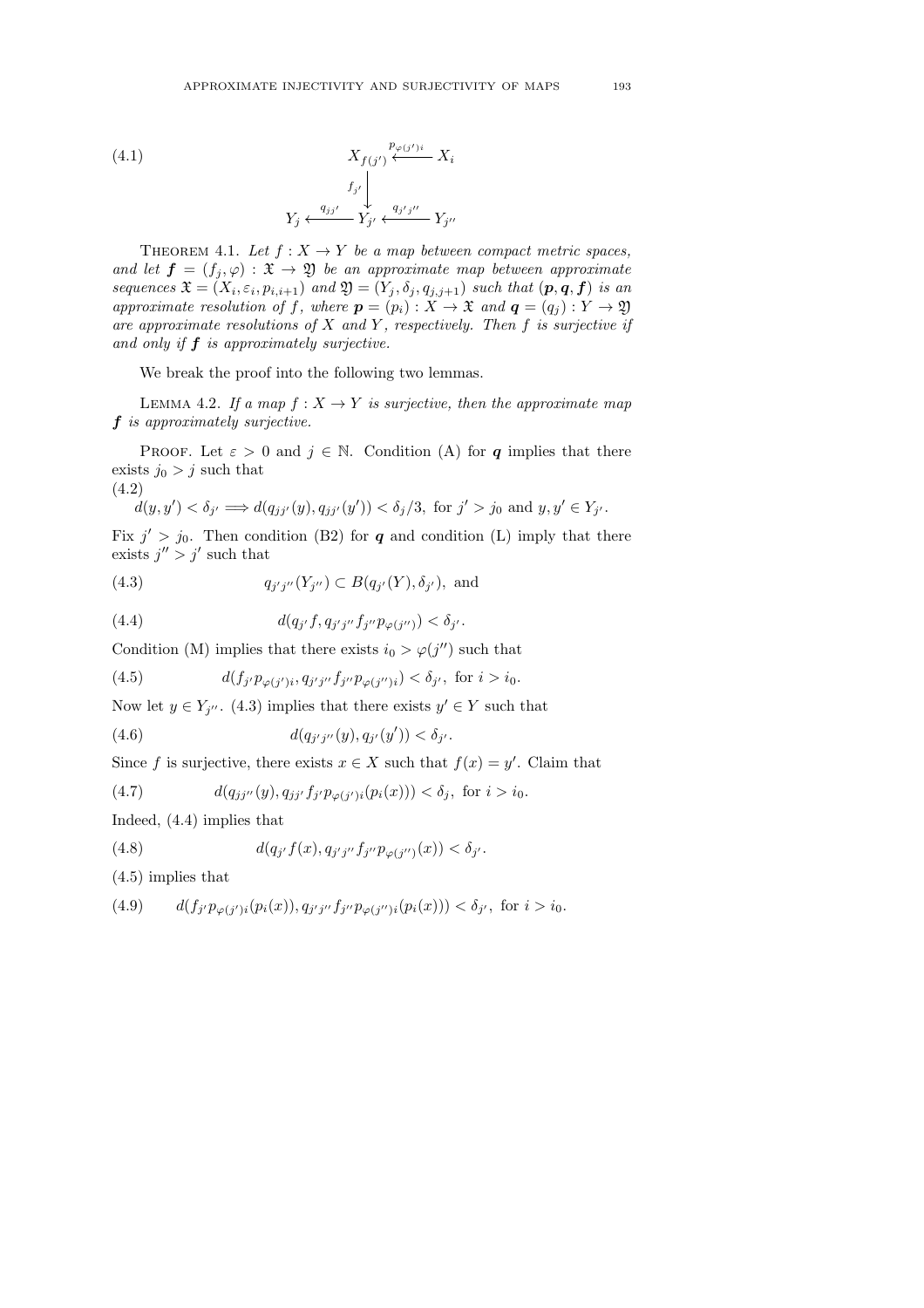(4.1) 
$$
X_{f(j')}\overset{p_{\varphi(j')i}}{\longleftarrow} X_i
$$

$$
f_{j'}\downarrow
$$

$$
Y_j \overset{q_{jj'}}{\longleftarrow} Y_{j'}\overset{q_{j'j''}}{\longleftarrow} Y_{j''}
$$

THEOREM 4.1. Let  $f: X \to Y$  be a map between compact metric spaces, *and let*  $f = (f_j, \varphi) : \mathfrak{X} \to \mathfrak{Y}$  *be an approximate map between approximate*  $sequences \mathfrak{X} = (X_i, \varepsilon_i, p_{i,i+1})$  and  $\mathfrak{Y} = (Y_j, \delta_j, q_{j,j+1})$  such that  $(p, q, f)$  is an *approximate resolution of* f*, where*  $p = (p_i) : X \to \mathfrak{X}$  *and*  $q = (q_j) : Y \to \mathfrak{Y}$ *are approximate resolutions of* X *and* Y *, respectively. Then* f *is surjective if and only if* f *is approximately surjective.*

We break the proof into the following two lemmas.

LEMMA 4.2. If a map  $f: X \to Y$  is surjective, then the approximate map f *is approximately surjective.*

PROOF. Let  $\varepsilon > 0$  and  $j \in \mathbb{N}$ . Condition (A) for q implies that there exists  $j_0 > j$  such that (4.2)

$$
d(y, y') < \delta_{j'} \Longrightarrow d(q_{jj'}(y), q_{jj'}(y')) < \delta_j/3, \text{ for } j' > j_0 \text{ and } y, y' \in Y_{j'}.
$$

Fix  $j' > j_0$ . Then condition (B2) for q and condition (L) imply that there exists  $j'' > j'$  such that

(4.3) 
$$
q_{j'j''}(Y_{j''}) \subset B(q_{j'}(Y), \delta_{j'}),
$$
 and

(4.4) 
$$
d(q_{j'}f, q_{j'j''}f_{j''}p_{\varphi(j'')}) < \delta_{j'}.
$$

Condition (M) implies that there exists  $i_0 > \varphi(j'')$  such that

(4.5) 
$$
d(f_{j'}p_{\varphi(j')i}, q_{j'j''}f_{j''}p_{\varphi(j'')i}) < \delta_{j'}, \text{ for } i > i_0.
$$

Now let  $y \in Y_{j''}$ . (4.3) implies that there exists  $y' \in Y$  such that

(4.6) 
$$
d(q_{j'j''}(y), q_{j'}(y')) < \delta_{j'}.
$$

Since f is surjective, there exists  $x \in X$  such that  $f(x) = y'$ . Claim that

(4.7) 
$$
d(q_{jj''}(y), q_{jj'} f_{j'} p_{\varphi(j')i}(p_i(x))) < \delta_j, \text{ for } i > i_0.
$$

Indeed, (4.4) implies that

(4.8) 
$$
d(q_{j'}f(x), q_{j'j''}f_{j''}p_{\varphi(j'')}(x)) < \delta_{j'}.
$$

(4.5) implies that

(4.9) 
$$
d(f_{j'}p_{\varphi(j')i}(p_i(x)), q_{j'j''}f_{j''}p_{\varphi(j'')i}(p_i(x))) < \delta_{j'}, \text{ for } i > i_0.
$$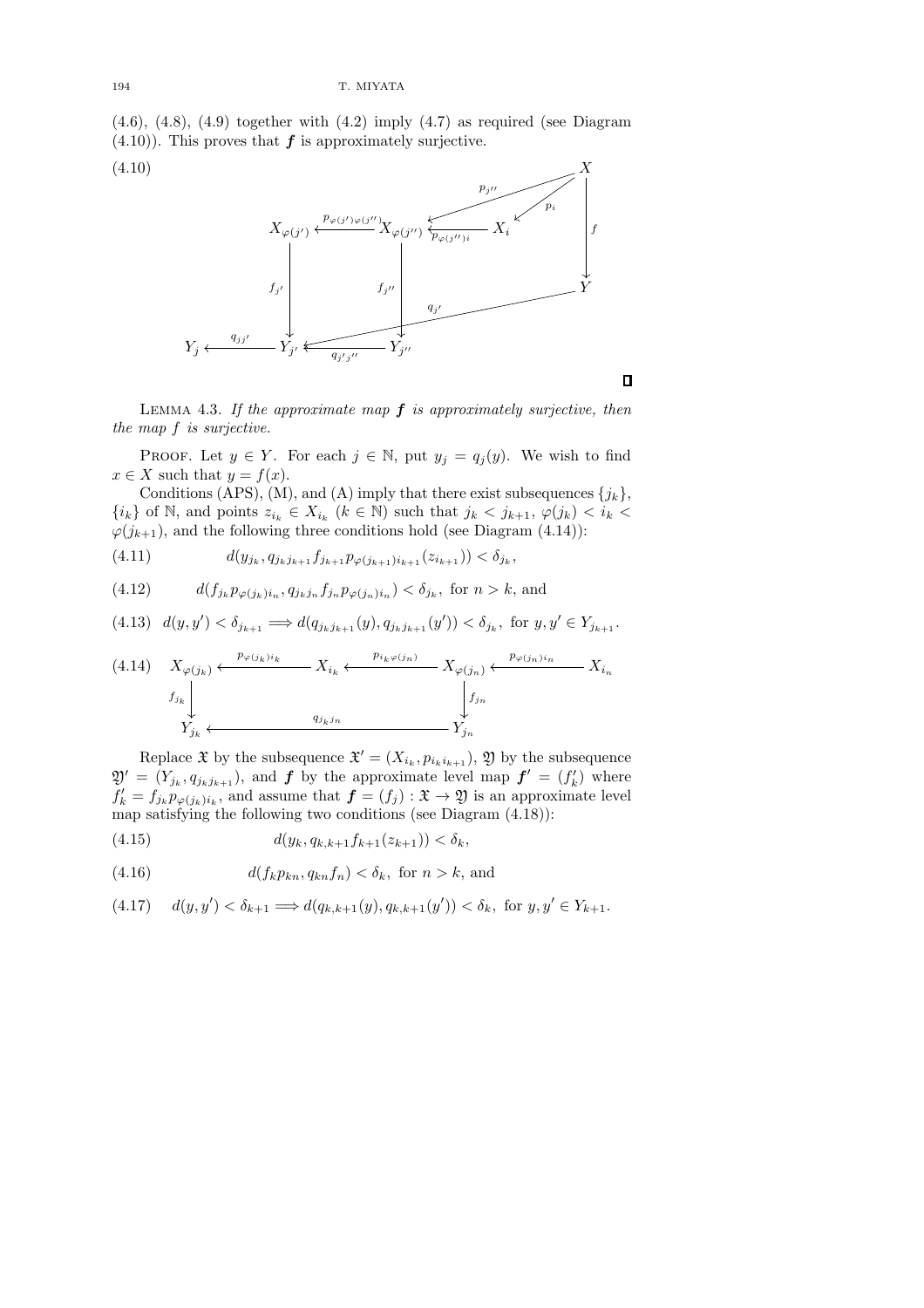#### 194 T. MIYATA

 $(4.6)$ ,  $(4.8)$ ,  $(4.9)$  together with  $(4.2)$  imply  $(4.7)$  as required (see Diagram  $(4.10)$ ). This proves that  $f$  is approximately surjective.



Lemma 4.3. *If the approximate map* f *is approximately surjective, then the map* f *is surjective.*

PROOF. Let  $y \in Y$ . For each  $j \in \mathbb{N}$ , put  $y_j = q_j(y)$ . We wish to find  $x \in X$  such that  $y = f(x)$ .

Conditions (APS), (M), and (A) imply that there exist subsequences  $\{j_k\}$ ,  $\{i_k\}$  of N, and points  $z_{i_k} \in X_{i_k}$   $(k \in \mathbb{N})$  such that  $j_k < j_{k+1}$ ,  $\varphi(j_k) < i_k$  $\varphi(j_{k+1})$ , and the following three conditions hold (see Diagram (4.14)):

$$
(4.11) \t d(y_{j_k}, q_{j_k j_{k+1}} f_{j_{k+1}} p_{\varphi(j_{k+1}) i_{k+1}}(z_{i_{k+1}})) < \delta_{j_k},
$$

(4.12) 
$$
d(f_{j_k} p_{\varphi(j_k)i_n}, q_{j_k j_n} f_{j_n} p_{\varphi(j_n)i_n}) < \delta_{j_k}, \text{ for } n > k, \text{ and}
$$

$$
(4.13) \ d(y,y') < \delta_{j_{k+1}} \Longrightarrow d(q_{j_{k}j_{k+1}}(y), q_{j_{k}j_{k+1}}(y')) < \delta_{j_{k}}, \text{ for } y, y' \in Y_{j_{k+1}}.
$$

$$
(4.14) \quad X_{\varphi(j_k)} \xleftarrow{p_{\varphi(j_k)i_k}} X_{i_k} \xleftarrow{p_{i_k\varphi(j_n)}} X_{\varphi(j_n)} \xleftarrow{p_{\varphi(j_n)i_n}} X_{i_n}
$$
\n
$$
f_{j_k} \xleftarrow{q_{j_k j_n}} Y_{j_n}
$$

Replace  $\mathfrak{X}$  by the subsequence  $\mathfrak{X}' = (X_{i_k}, p_{i_k i_{k+1}}), \mathfrak{Y}$  by the subsequence  $\mathfrak{Y}' = (Y_{j_k}, q_{j_k j_{k+1}})$ , and **f** by the approximate level map  $f' = (f'_k)$  where  $f'_k = f_{j_k} p_{\varphi(j_k) i_k}$ , and assume that  $\boldsymbol{f} = (f_j) : \mathfrak{X} \to \mathfrak{Y}$  is an approximate level map satisfying the following two conditions (see Diagram (4.18)):

(4.15)  $d(y_k, q_{k,k+1}f_{k+1}(z_{k+1})) < \delta_k$ 

(4.16) 
$$
d(f_k p_{kn}, q_{kn} f_n) < \delta_k, \text{ for } n > k, \text{ and}
$$

$$
(4.17) \quad d(y, y') < \delta_{k+1} \Longrightarrow d(q_{k,k+1}(y), q_{k,k+1}(y')) < \delta_k, \text{ for } y, y' \in Y_{k+1}.
$$

 $\Box$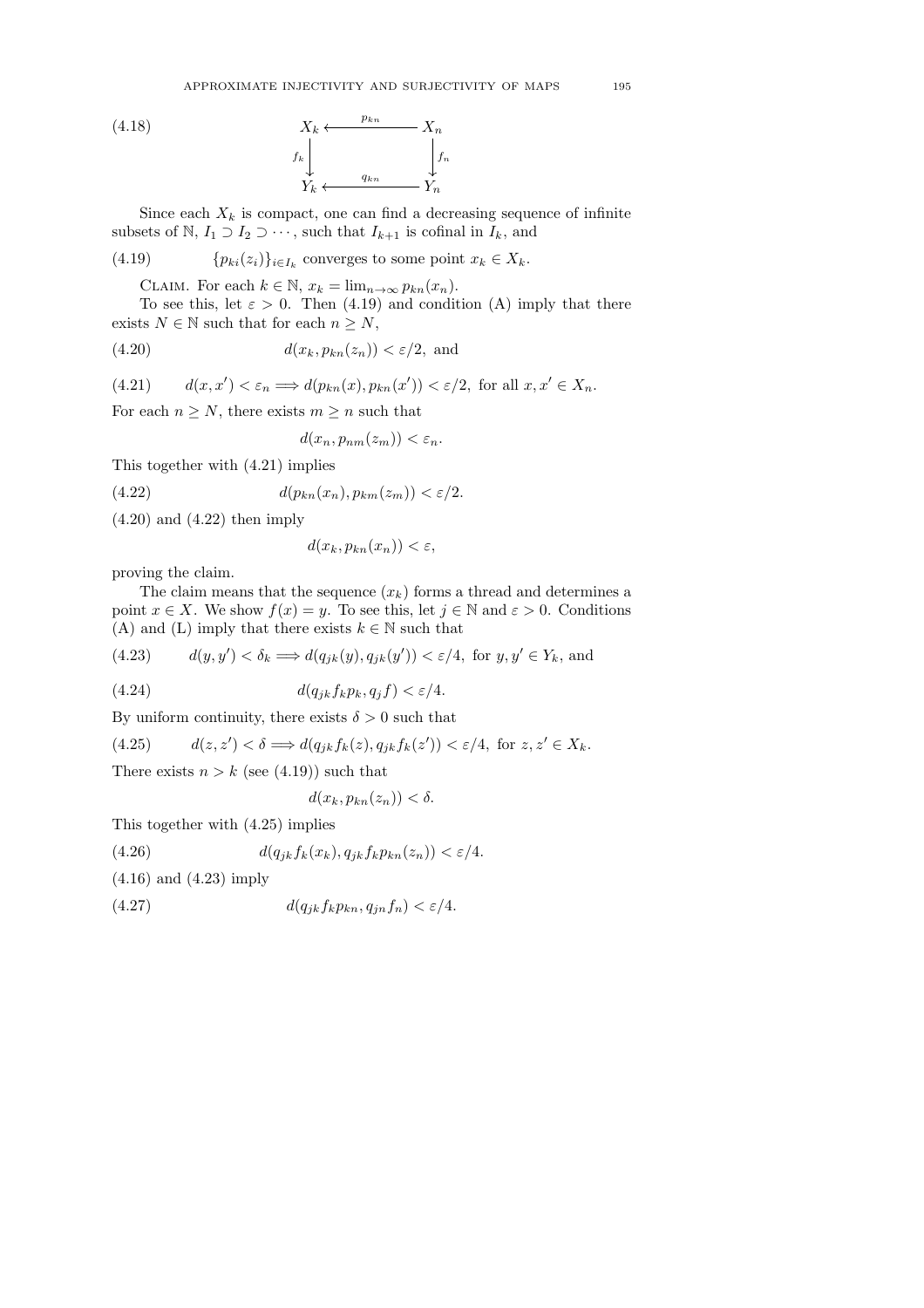$(4.18)$ 



Since each  $X_k$  is compact, one can find a decreasing sequence of infinite subsets of N,  $I_1 \supset I_2 \supset \cdots$ , such that  $I_{k+1}$  is cofinal in  $I_k$ , and

(4.19)  $\{p_{ki}(z_i)\}_{i\in I_k}$  converges to some point  $x_k \in X_k$ .

CLAIM. For each  $k \in \mathbb{N}$ ,  $x_k = \lim_{n \to \infty} p_{kn}(x_n)$ .

To see this, let  $\varepsilon > 0$ . Then (4.19) and condition (A) imply that there exists  $N \in \mathbb{N}$  such that for each  $n \geq N$ ,

$$
(4.20) \t d(x_k, p_{kn}(z_n)) < \varepsilon/2, \text{ and}
$$

(4.21) 
$$
d(x, x') < \varepsilon_n \Longrightarrow d(p_{kn}(x), p_{kn}(x')) < \varepsilon/2, \text{ for all } x, x' \in X_n.
$$

For each  $n \geq N$ , there exists  $m \geq n$  such that

$$
d(x_n, p_{nm}(z_m)) < \varepsilon_n.
$$

This together with (4.21) implies

$$
(4.22) \t d(p_{kn}(x_n), p_{km}(z_m)) < \varepsilon/2.
$$

 $(4.20)$  and  $(4.22)$  then imply

$$
d(x_k, p_{kn}(x_n)) < \varepsilon
$$

proving the claim.

The claim means that the sequence  $(x_k)$  forms a thread and determines a point  $x \in X$ . We show  $f(x) = y$ . To see this, let  $j \in \mathbb{N}$  and  $\varepsilon > 0$ . Conditions (A) and (L) imply that there exists  $k \in \mathbb{N}$  such that

(4.23) 
$$
d(y, y') < \delta_k \Longrightarrow d(q_{jk}(y), q_{jk}(y')) < \varepsilon/4, \text{ for } y, y' \in Y_k, \text{ and}
$$

$$
(4.24) \t d(q_{jk}f_k p_k, q_j f) < \varepsilon/4.
$$

By uniform continuity, there exists  $\delta > 0$  such that

$$
(4.25) \qquad \ \ d(z,z')<\delta\Longrightarrow d(q_{jk}f_k(z),q_{jk}f_k(z'))<\varepsilon/4, \text{ for } z,z'\in X_k.
$$

There exists  $n > k$  (see (4.19)) such that

$$
d(x_k, p_{kn}(z_n)) < \delta.
$$

This together with (4.25) implies

$$
(4.26) \t d(q_{jk}f_k(x_k), q_{jk}f_kp_{kn}(z_n)) < \varepsilon/4.
$$

(4.16) and (4.23) imply

$$
(4.27) \t d(q_{jk}f_k p_{kn}, q_{jn}f_n) < \varepsilon/4.
$$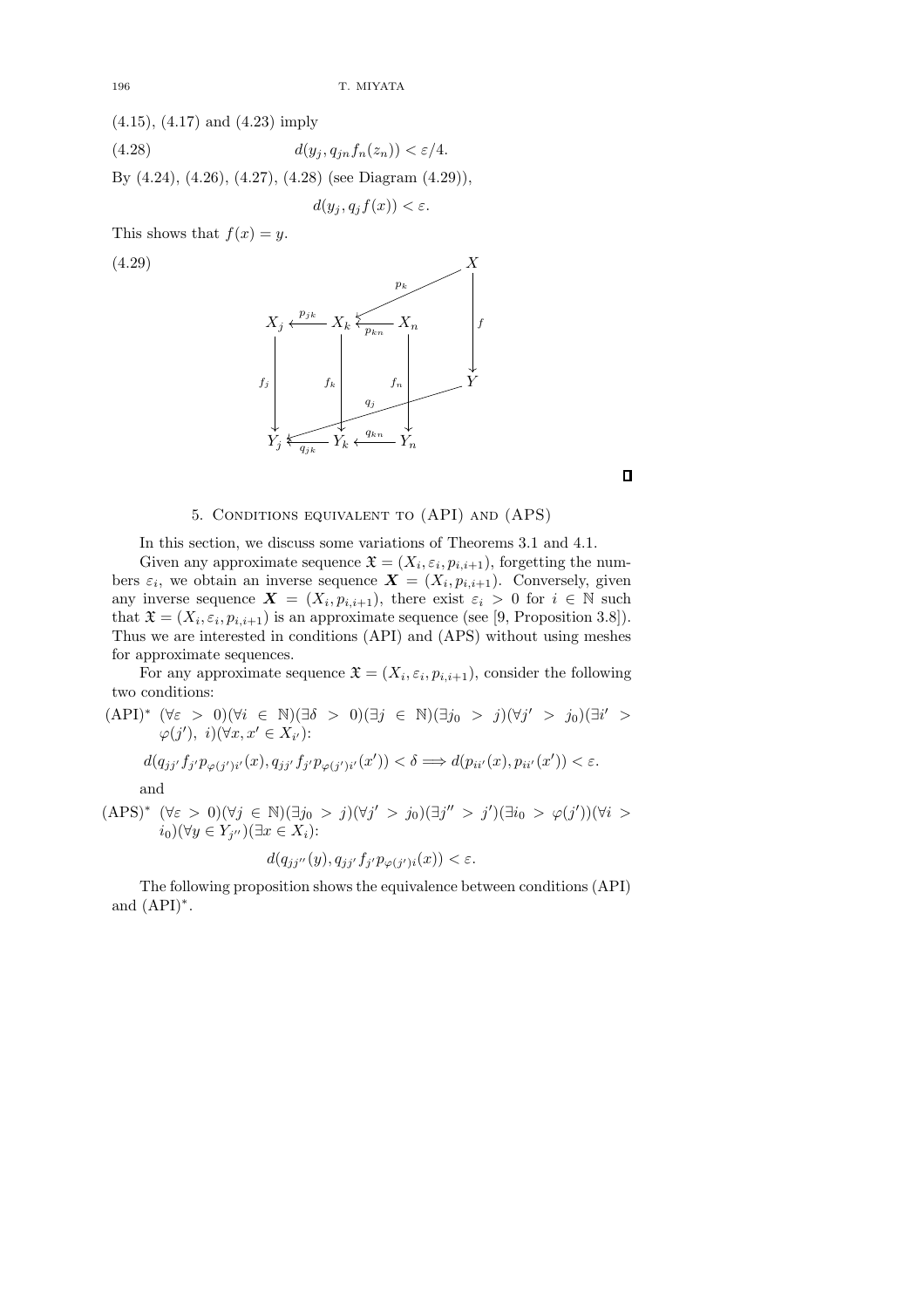(4.15), (4.17) and (4.23) imply

(4.28) 
$$
d(y_j, q_{jn}f_n(z_n)) < \varepsilon/4.
$$

By (4.24), (4.26), (4.27), (4.28) (see Diagram (4.29)),

$$
d(y_j, q_j f(x)) < \varepsilon.
$$

This shows that  $f(x) = y$ .



 $\Box$ 

## 5. Conditions equivalent to (API) and (APS)

In this section, we discuss some variations of Theorems 3.1 and 4.1.

Given any approximate sequence  $\mathfrak{X} = (X_i, \varepsilon_i, p_{i,i+1})$ , forgetting the numbers  $\varepsilon_i$ , we obtain an inverse sequence  $\boldsymbol{X} = (X_i, p_{i,i+1})$ . Conversely, given any inverse sequence  $\mathbf{X} = (X_i, p_{i,i+1})$ , there exist  $\varepsilon_i > 0$  for  $i \in \mathbb{N}$  such that  $\mathfrak{X} = (X_i, \varepsilon_i, p_{i,i+1})$  is an approximate sequence (see [9, Proposition 3.8]). Thus we are interested in conditions (API) and (APS) without using meshes for approximate sequences.

For any approximate sequence  $\mathfrak{X} = (X_i, \varepsilon_i, p_{i,i+1}),$  consider the following two conditions:

$$
(\text{API})^* \ (\forall \varepsilon > 0)(\forall i \in \mathbb{N})(\exists \delta > 0)(\exists j \in \mathbb{N})(\exists j_0 > j)(\forall j' > j_0)(\exists i' > \varphi(j'), i)(\forall x, x' \in X_{i'}).
$$

$$
d(q_{jj'}f_{j'}p_{\varphi(j')i'}(x), q_{jj'}f_{j'}p_{\varphi(j')i'}(x')) < \delta \Longrightarrow d(p_{ii'}(x), p_{ii'}(x')) < \varepsilon.
$$

and

 $(APS)^*$   $(\forall \varepsilon > 0)(\forall j \in \mathbb{N})(\exists j_0 > j)(\forall j' > j_0)(\exists j'' > j')(\exists i_0 > \varphi(j'))(\forall i > j_0)$  $(i_0)(\forall y \in Y_{j''})(\exists x \in X_i)$ :

$$
d(q_{jj''}(y), q_{jj'} f_{j'} p_{\varphi(j')i}(x)) < \varepsilon.
$$

The following proposition shows the equivalence between conditions (API) and  $(API)^*$ .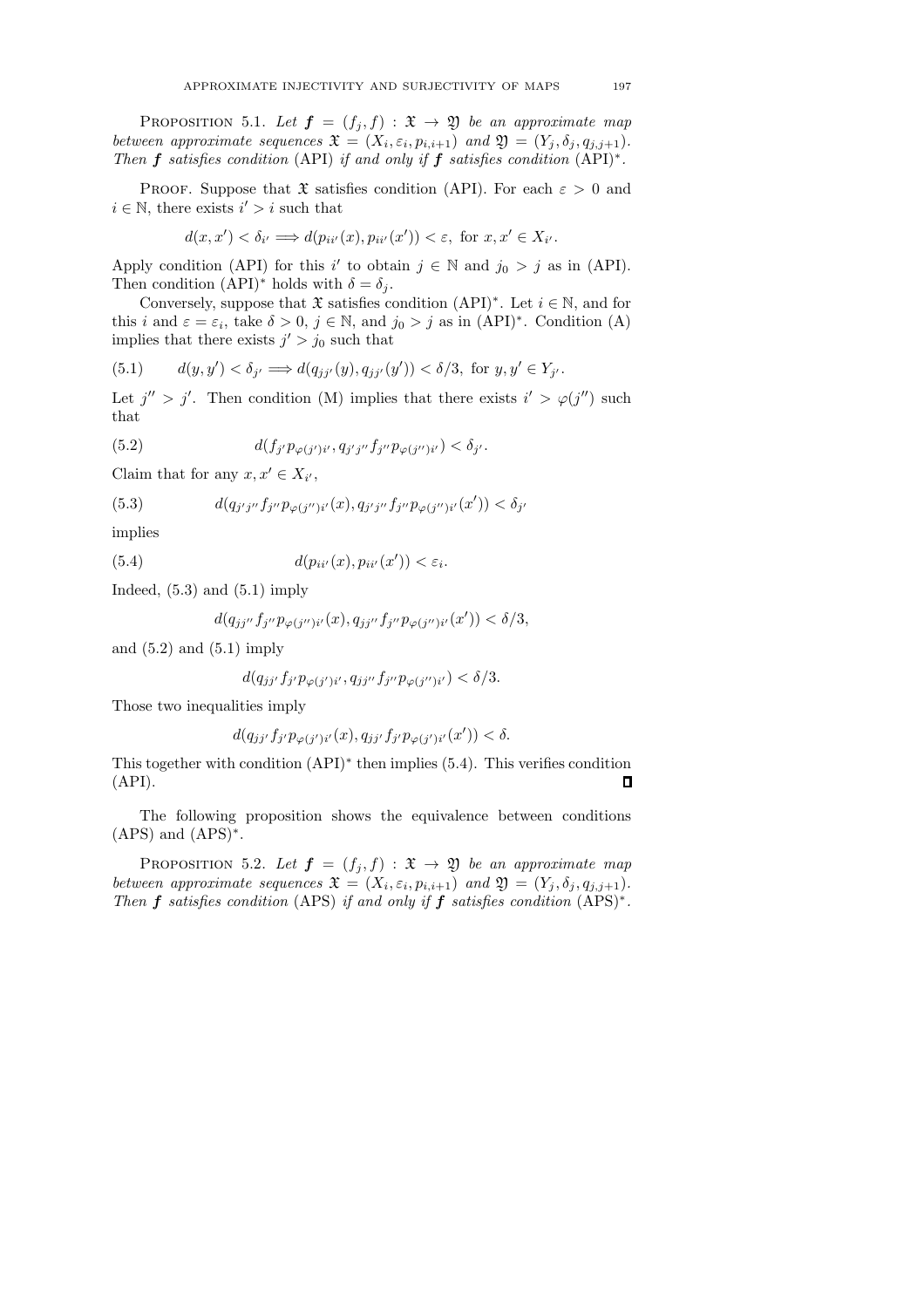PROPOSITION 5.1. Let  $f = (f_j, f) : \mathfrak{X} \to \mathfrak{Y}$  be an approximate map *between approximate sequences*  $\mathfrak{X} = (X_i, \varepsilon_i, p_{i,i+1})$  *and*  $\mathfrak{Y} = (Y_j, \delta_j, q_{j,j+1})$ *. Then* f *satisfies condition* (API) *if and only if* f *satisfies condition* (API)<sup>∗</sup> *.*

PROOF. Suppose that  $\mathfrak X$  satisfies condition (API). For each  $\varepsilon > 0$  and  $i \in \mathbb{N}$ , there exists  $i' > i$  such that

 $d(x, x') < \delta_{i'} \Longrightarrow d(p_{ii'}(x), p_{ii'}(x')) < \varepsilon$ , for  $x, x' \in X_{i'}$ .

Apply condition (API) for this i' to obtain  $j \in \mathbb{N}$  and  $j_0 > j$  as in (API). Then condition (API)<sup>∗</sup> holds with  $\delta = \delta_j$ .

Conversely, suppose that  $\mathfrak X$  satisfies condition (API)<sup>\*</sup>. Let  $i \in \mathbb N$ , and for this i and  $\varepsilon = \varepsilon_i$ , take  $\delta > 0$ ,  $j \in \mathbb{N}$ , and  $j_0 > j$  as in  $(API)^*$ . Condition  $(A)$ implies that there exists  $j' > j_0$  such that

$$
(5.1) \qquad d(y, y') < \delta_{j'} \Longrightarrow d(q_{jj'}(y), q_{jj'}(y')) < \delta/3, \text{ for } y, y' \in Y_{j'}.
$$

Let  $j'' > j'$ . Then condition (M) implies that there exists  $i' > \varphi(j'')$  such that

(5.2) 
$$
d(f_{j'}p_{\varphi(j')i'}, q_{j'j''}f_{j''}p_{\varphi(j'')i'}) < \delta_{j'}.
$$

Claim that for any  $x, x' \in X_{i'}$ ,

(5.3) 
$$
d(q_{j'j''}f_{j''}p_{\varphi(j'')i'}(x), q_{j'j''}f_{j''}p_{\varphi(j'')i'}(x')) < \delta_{j'}
$$

implies

(5.4) 
$$
d(p_{ii'}(x), p_{ii'}(x')) < \varepsilon_i.
$$

Indeed,  $(5.3)$  and  $(5.1)$  imply

$$
d(q_{jj''} f_{j''} p_{\varphi(j'')i'}(x), q_{jj''} f_{j''} p_{\varphi(j'')i'}(x')) < \delta/3,
$$

and  $(5.2)$  and  $(5.1)$  imply

$$
d(q_{jj'} f_{j'} p_{\varphi(j')i'}, q_{jj''} f_{j''} p_{\varphi(j'')i'}) < \delta/3.
$$

Those two inequalities imply

$$
d(q_{jj'}f_{j'}p_{\varphi(j')i'}(x), q_{jj'}f_{j'}p_{\varphi(j')i'}(x')) < \delta.
$$

This together with condition (API)<sup>∗</sup> then implies (5.4). This verifies condition (API). П

The following proposition shows the equivalence between conditions (APS) and (APS)<sup>∗</sup> .

PROPOSITION 5.2. Let  $\boldsymbol{f} = (f_j, f) : \mathfrak{X} \to \mathfrak{Y}$  be an approximate map *between approximate sequences*  $\mathfrak{X} = (X_i, \varepsilon_i, p_{i,i+1})$  *and*  $\mathfrak{Y} = (Y_j, \delta_j, q_{j,j+1})$ *. Then* f *satisfies condition* (APS) *if and only if* f *satisfies condition* (APS)<sup>∗</sup> *.*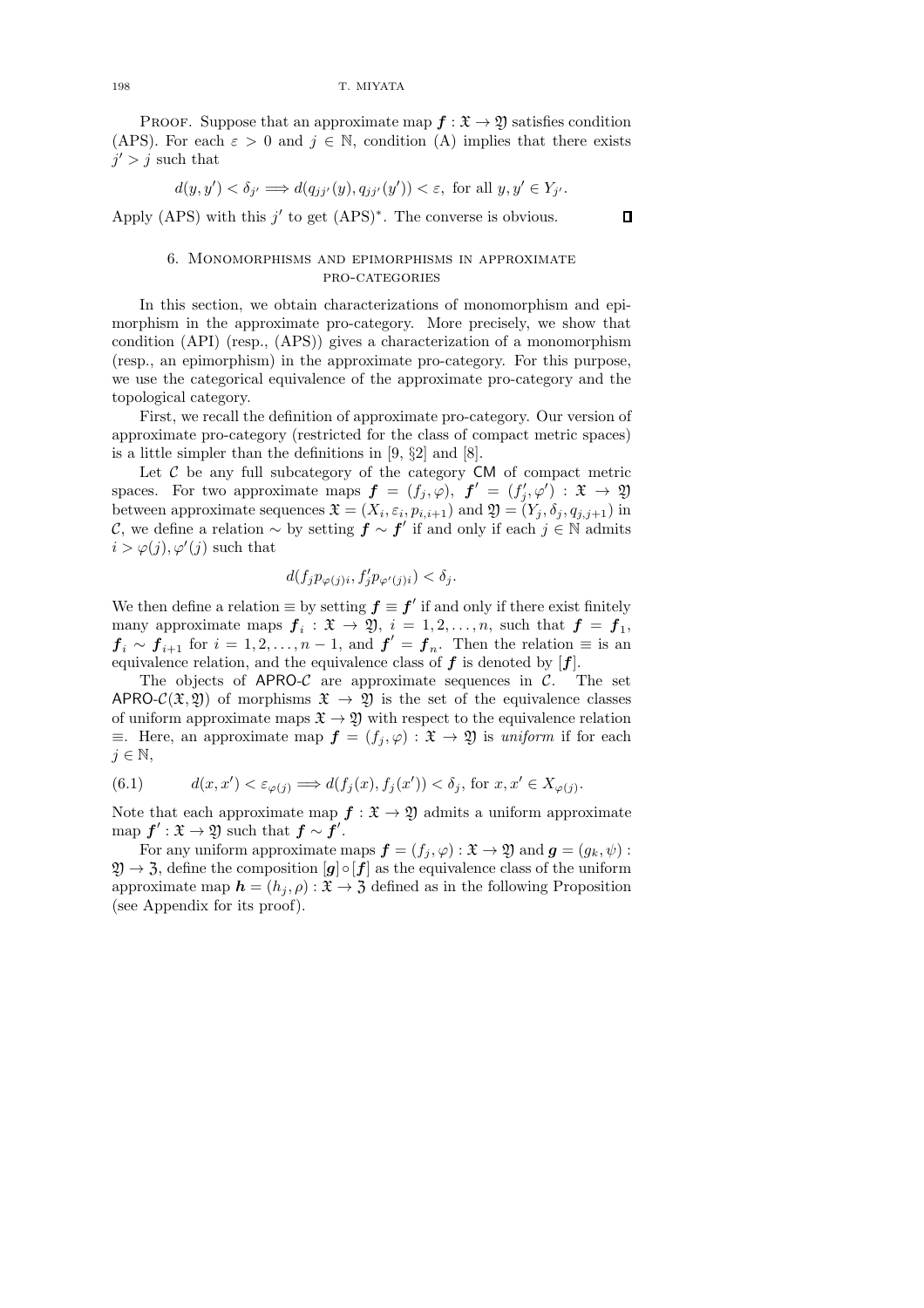PROOF. Suppose that an approximate map  $f : \mathfrak{X} \to \mathfrak{Y}$  satisfies condition (APS). For each  $\varepsilon > 0$  and  $j \in \mathbb{N}$ , condition (A) implies that there exists  $j' > j$  such that

$$
d(y, y') < \delta_{j'} \Longrightarrow d(q_{jj'}(y), q_{jj'}(y')) < \varepsilon, \text{ for all } y, y' \in Y_{j'}.
$$

Apply (APS) with this  $j'$  to get  $(APS)^*$ . The converse is obvious.

## 6. Monomorphisms and epimorphisms in approximate pro-categories

In this section, we obtain characterizations of monomorphism and epimorphism in the approximate pro-category. More precisely, we show that condition (API) (resp., (APS)) gives a characterization of a monomorphism (resp., an epimorphism) in the approximate pro-category. For this purpose, we use the categorical equivalence of the approximate pro-category and the topological category.

First, we recall the definition of approximate pro-category. Our version of approximate pro-category (restricted for the class of compact metric spaces) is a little simpler than the definitions in [9, §2] and [8].

Let  $C$  be any full subcategory of the category  $CM$  of compact metric spaces. For two approximate maps  $\boldsymbol{f} = (f_j, \varphi), \ \boldsymbol{f}' = (f'_j, \varphi') : \mathfrak{X} \to \mathfrak{Y}$ between approximate sequences  $\mathfrak{X} = (X_i, \varepsilon_i, p_{i,i+1})$  and  $\mathfrak{Y} = (Y_j, \delta_j, q_{j,j+1})$  in C, we define a relation  $\sim$  by setting  $\hat{\boldsymbol{f}} \sim \boldsymbol{f}'$  if and only if each  $j \in \mathbb{N}$  admits  $i > \varphi(j), \varphi'(j)$  such that

$$
d(f_j p_{\varphi(j)i}, f'_j p_{\varphi'(j)i}) < \delta_j.
$$

We then define a relation  $\equiv$  by setting  $f \equiv f'$  if and only if there exist finitely many approximate maps  $f_i: \mathfrak{X} \to \mathfrak{Y}, i = 1, 2, \ldots, n$ , such that  $f = f_1$ ,  $f_i \sim f_{i+1}$  for  $i = 1, 2, ..., n-1$ , and  $f' = f_n$ . Then the relation  $\equiv$  is an equivalence relation, and the equivalence class of  $f$  is denoted by  $[f]$ .

The objects of  $APRO-C$  are approximate sequences in C. The set APRO- $\mathcal{C}(\mathfrak{X}, \mathfrak{Y})$  of morphisms  $\mathfrak{X} \to \mathfrak{Y}$  is the set of the equivalence classes of uniform approximate maps  $\mathfrak{X} \to \mathfrak{Y}$  with respect to the equivalence relation ≡. Here, an approximate map  $f = (f_j, \varphi) : \mathfrak{X} \to \mathfrak{Y}$  is *uniform* if for each  $j \in \mathbb{N},$ 

(6.1) 
$$
d(x,x') < \varepsilon_{\varphi(j)} \Longrightarrow d(f_j(x),f_j(x')) < \delta_j, \text{ for } x,x' \in X_{\varphi(j)}.
$$

Note that each approximate map  $f : \mathfrak{X} \to \mathfrak{Y}$  admits a uniform approximate map  $f' : \mathfrak{X} \to \mathfrak{Y}$  such that  $f \sim \overline{f'}.$ 

For any uniform approximate maps  $\mathbf{f} = (f_i, \varphi) : \mathfrak{X} \to \mathfrak{Y}$  and  $\mathbf{g} = (g_k, \psi)$ :  $\mathfrak{Y} \to \mathfrak{Z}$ , define the composition  $[g] \circ [f]$  as the equivalence class of the uniform approximate map  $h = (h_i, \rho) : \mathfrak{X} \to \mathfrak{Z}$  defined as in the following Proposition (see Appendix for its proof).

 $\Box$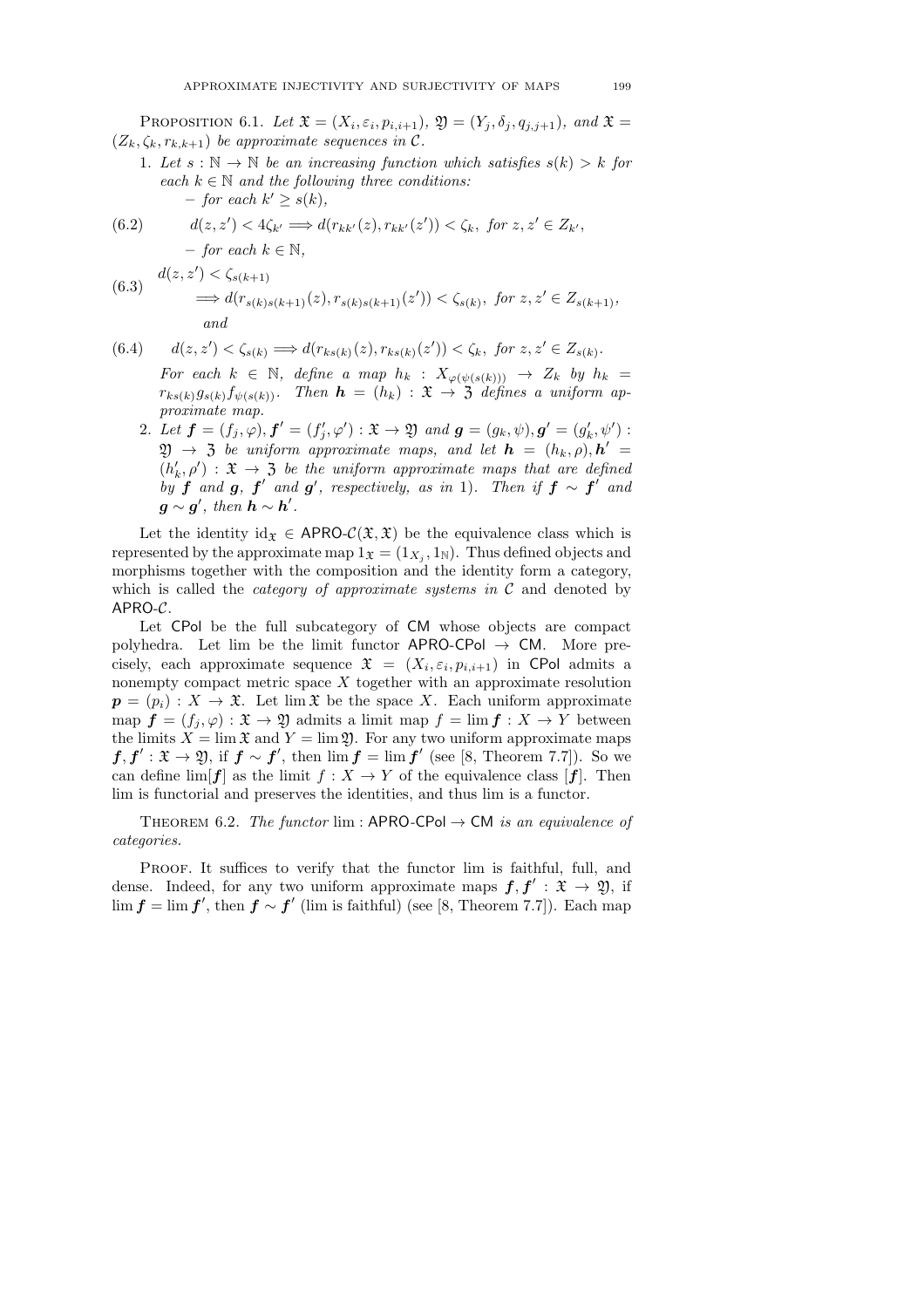PROPOSITION 6.1. Let  $\mathfrak{X} = (X_i, \varepsilon_i, p_{i,i+1}), \mathfrak{Y} = (Y_j, \delta_j, q_{j,j+1}), \text{ and } \mathfrak{X} =$  $(Z_k, \zeta_k, r_{k,k+1})$  *be approximate sequences in* C.

1. Let  $s : \mathbb{N} \to \mathbb{N}$  be an increasing function which satisfies  $s(k) > k$  for  $each \ k \in \mathbb{N}$  *and the following three conditions:*  $-$  *for each*  $k' \geq s(k)$ ,

(6.2) 
$$
d(z, z') < 4\zeta_{k'} \Longrightarrow d(r_{kk'}(z), r_{kk'}(z')) < \zeta_k, \text{ for } z, z' \in Z_{k'},
$$

$$
- \text{ for each } k \in \mathbb{N},
$$

(6.3) 
$$
\begin{aligned} d(z, z') &< \zeta_{s(k+1)} \\ &\implies d(r_{s(k)s(k+1)}(z), r_{s(k)s(k+1)}(z')) < \zeta_{s(k)}, \text{ for } z, z' \in Z_{s(k+1)}, \\ & \text{and} \end{aligned}
$$

- (6.4)  $d(z, z') < \zeta_{s(k)} \Longrightarrow d(r_{ks(k)}(z), r_{ks(k)}(z')) < \zeta_k, \text{ for } z, z' \in Z_{s(k)}$ . *For each*  $k \in \mathbb{N}$ *, define a map*  $h_k : X_{\varphi(\psi(s(k)))} \to Z_k$  by  $h_k =$  $r_{ks(k)}g_{s(k)}f_{\psi(s(k))}.$  Then  $\boldsymbol{h}=(h_k):\mathfrak{X}\to\mathfrak{Z}$  defines a uniform ap*proximate map.*
	- 2. Let  $f = (f_j, \varphi), f' = (f'_j, \varphi') : \mathfrak{X} \to \mathfrak{Y}$  and  $g = (g_k, \psi), g' = (g'_k, \psi') :$  $\mathfrak{Y} \rightarrow \mathfrak{Z}$  be uniform approximate maps, and let  $\mathbf{h} = (h_k, \rho), \mathbf{h}' =$  $(h'_k, \rho') : \mathfrak{X} \to \mathfrak{Z}$  be the uniform approximate maps that are defined  $\overrightarrow{by}$  **f** and **g**, **f** and **g**', respectively, as in 1). Then if **f**  $\sim$  **f**<sup>'</sup> and  $\boldsymbol{g} \sim \boldsymbol{g}'$ , then  $\boldsymbol{h} \sim \boldsymbol{h}'$ .

Let the identity  $id_{\mathfrak{X}} \in \mathsf{APRO}\text{-}\mathcal{C}(\mathfrak{X}, \mathfrak{X})$  be the equivalence class which is represented by the approximate map  $1_{\mathfrak{X}} = (1_{X_j}, 1_{\mathbb{N}})$ . Thus defined objects and morphisms together with the composition and the identity form a category, which is called the *category of approximate systems in* C and denoted by APRO-C.

Let CPol be the full subcategory of CM whose objects are compact polyhedra. Let lim be the limit functor  $APRO-CP$ ol  $\rightarrow$  CM. More precisely, each approximate sequence  $\mathfrak{X} = (X_i, \varepsilon_i, p_{i,i+1})$  in CPol admits a nonempty compact metric space  $X$  together with an approximate resolution  $p = (p_i) : X \to \mathfrak{X}$ . Let lim  $\mathfrak{X}$  be the space X. Each uniform approximate map  $f = (f_i, \varphi) : \mathfrak{X} \to \mathfrak{Y}$  admits a limit map  $f = \lim f : X \to Y$  between the limits  $X = \lim \mathfrak{X}$  and  $Y = \lim \mathfrak{Y}$ . For any two uniform approximate maps  $f, f' : \mathfrak{X} \to \mathfrak{Y}$ , if  $f \sim f'$ , then  $\lim_{s \to f} f = \lim_{s \to f'} f'$  (see [8, Theorem 7.7]). So we can define lim[ $f$ ] as the limit  $f : X \to Y$  of the equivalence class [ $f$ ]. Then lim is functorial and preserves the identities, and thus lim is a functor.

THEOREM 6.2. *The functor* lim : APRO-CPol  $\rightarrow$  CM *is an equivalence of categories.*

PROOF. It suffices to verify that the functor lim is faithful, full, and dense. Indeed, for any two uniform approximate maps  $f, f' : \mathfrak{X} \to \mathfrak{Y}$ , if  $\lim_{f \to f} f = \lim_{f \to f} f'$ , then  $f \sim f'$  (lim is faithful) (see [8, Theorem 7.7]). Each map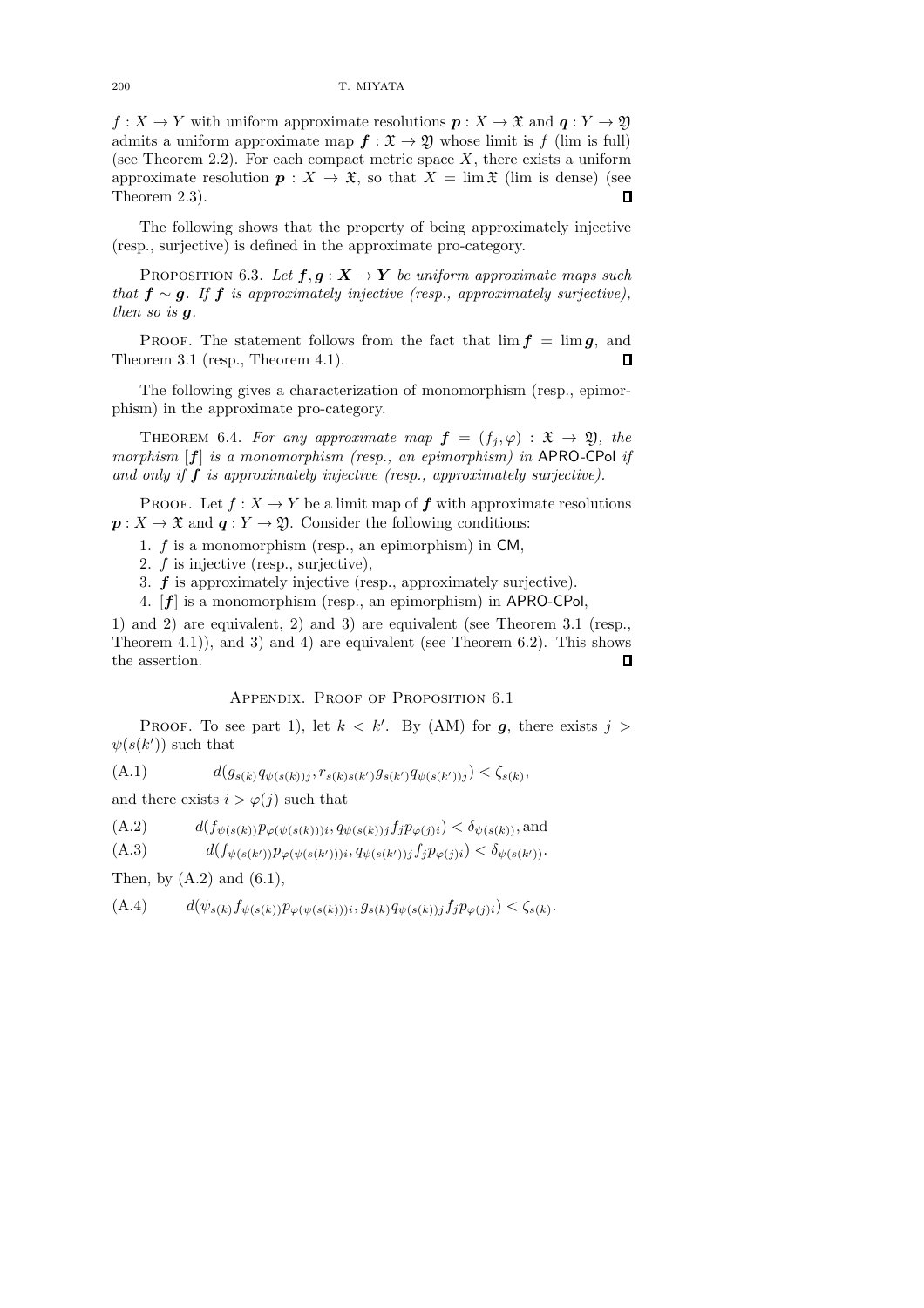$f: X \to Y$  with uniform approximate resolutions  $p: X \to \mathfrak{X}$  and  $q: Y \to \mathfrak{Y}$ admits a uniform approximate map  $f : \mathfrak{X} \to \mathfrak{Y}$  whose limit is f (lim is full) (see Theorem 2.2). For each compact metric space  $X$ , there exists a uniform approximate resolution  $p: X \to \mathfrak{X}$ , so that  $X = \lim \mathfrak{X}$  (lim is dense) (see Theorem 2.3).  $\Box$ 

The following shows that the property of being approximately injective (resp., surjective) is defined in the approximate pro-category.

PROPOSITION 6.3. Let  $f, g: X \to Y$  be uniform approximate maps such *that*  $f \sim g$ . If  $f$  *is approximately injective (resp., approximately surjective), then so is* g*.*

PROOF. The statement follows from the fact that  $\lim f = \lim g$ , and Theorem 3.1 (resp., Theorem 4.1). П

The following gives a characterization of monomorphism (resp., epimorphism) in the approximate pro-category.

THEOREM 6.4. For any approximate map  $f = (f_j, \varphi) : \mathfrak{X} \to \mathfrak{Y}$ , the *morphism* [f] *is a monomorphism (resp., an epimorphism) in* APRO*-*CPol *if and only if* f *is approximately injective (resp., approximately surjective).*

PROOF. Let  $f: X \to Y$  be a limit map of  $f$  with approximate resolutions  $p: X \to \mathfrak{X}$  and  $q: Y \to \mathfrak{Y}$ . Consider the following conditions:

1. f is a monomorphism (resp., an epimorphism) in CM,

2. f is injective (resp., surjective),

3.  $f$  is approximately injective (resp., approximately surjective).

4. [f] is a monomorphism (resp., an epimorphism) in APRO-CPol,

1) and 2) are equivalent, 2) and 3) are equivalent (see Theorem 3.1 (resp., Theorem 4.1), and 3) and 4) are equivalent (see Theorem 6.2). This shows the assertion.  $\Box$ 

## Appendix. Proof of Proposition 6.1

PROOF. To see part 1), let  $k < k'$ . By (AM) for g, there exists  $j >$  $\psi(s(k'))$  such that

(A.1)  $d(g_{s(k)}q_{\psi(s(k))j}, r_{s(k)s(k')}g_{s(k')}q_{\psi(s(k'))j}) < \zeta_{s(k)},$ 

and there exists  $i > \varphi(i)$  such that

 $(A.2)$   $d(f_{\psi(s(k))}p_{\varphi(\psi(s(k)))i}, q_{\psi(s(k))j}f_jp_{\varphi(j)i}) < \delta_{\psi(s(k))j}$ , and

(A.3)  $d(f_{\psi(s(k'))}p_{\varphi(\psi(s(k')))i}, q_{\psi(s(k'))j}f_jp_{\varphi(j)i}) < \delta_{\psi(s(k'))}.$ 

Then, by  $(A.2)$  and  $(6.1)$ ,

 $(A.4)$   $d(\psi_{s(k)}f_{\psi(s(k))}p_{\varphi(\psi(s(k)))i}, g_{s(k)}q_{\psi(s(k))j}f_jp_{\varphi(j)i}) < \zeta_{s(k)}.$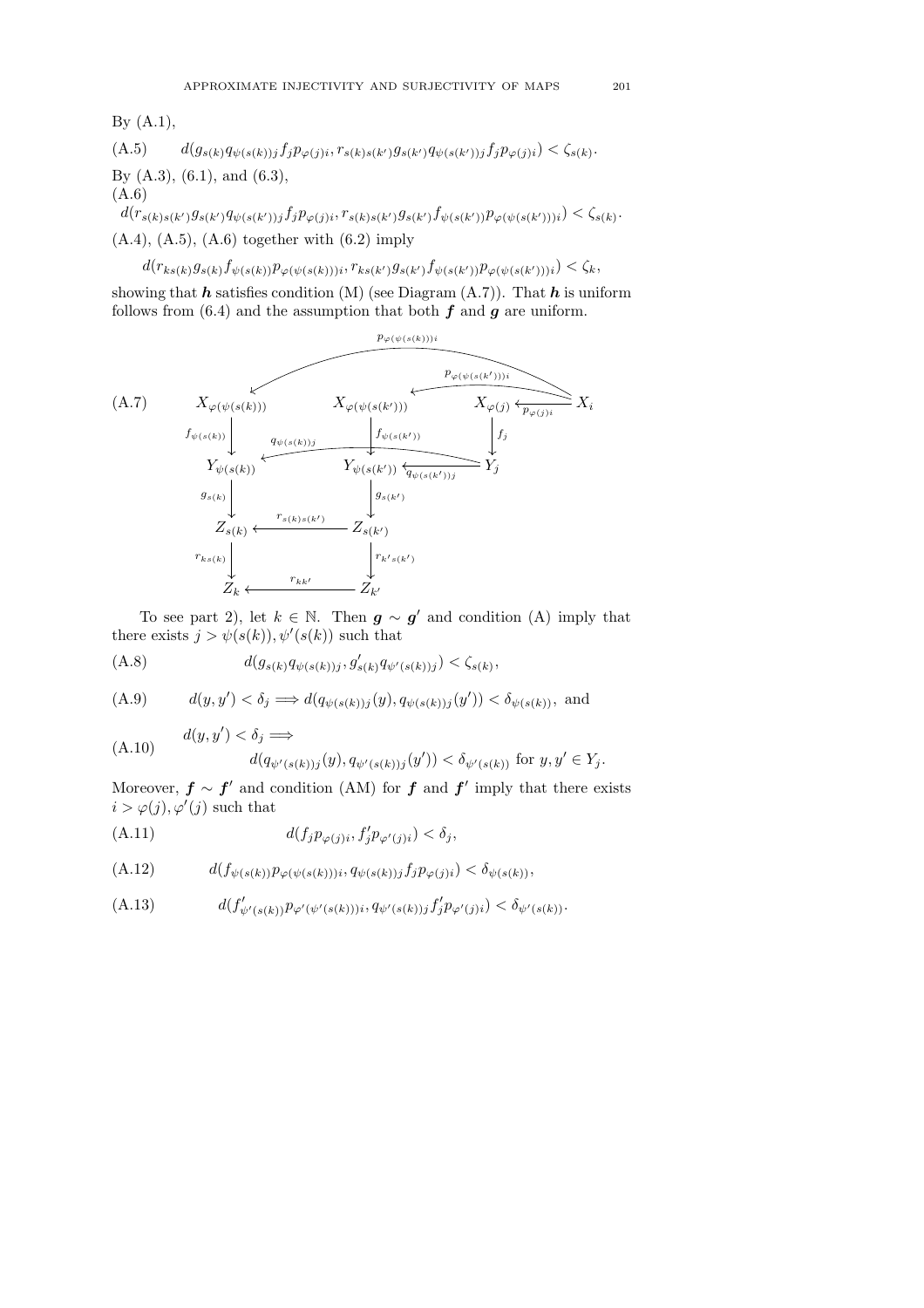# By  $(A.1)$ ,

 $(A.5)$   $d(g_{s(k)}q_{\psi(s(k))j}f_jp_{\varphi(j)i}, r_{s(k)s(k')}g_{s(k')}q_{\psi(s(k'))j}f_jp_{\varphi(j)i}) < \zeta_{s(k)}$ By (A.3), (6.1), and (6.3), (A.6)  $d(r_{s(k)s(k') }g_{s(k') }q_{\psi(s(k'))j }f_jp_{\varphi(j)i}, r_{s(k)s(k') }g_{s(k') }f_{\psi(s(k')) }p_{\varphi(\psi(s(k')))i}) < \zeta_{s(k)}.$ 

 $(A.4)$ ,  $(A.5)$ ,  $(A.6)$  together with  $(6.2)$  imply

 $d(r_{ks(k)}g_{s(k)}f_{\psi(s(k))}p_{\varphi(\psi(s(k)))i},r_{ks(k')}g_{s(k')}f_{\psi(s(k'))}p_{\varphi(\psi(s(k')))i}) < \zeta_k,$ 

showing that  $h$  satisfies condition (M) (see Diagram  $(A.7)$ ). That  $h$  is uniform follows from  $(6.4)$  and the assumption that both  $f$  and  $g$  are uniform.



To see part 2), let  $k \in \mathbb{N}$ . Then  $g \sim g'$  and condition (A) imply that there exists  $j > \psi(s(k)), \psi'(s(k))$  such that

(A.8) 
$$
d(g_{s(k)}q_{\psi(s(k))j}, g'_{s(k)}q_{\psi'(s(k))j}) < \zeta_{s(k)},
$$

(A.9) 
$$
d(y, y') < \delta_j \Longrightarrow d(q_{\psi(s(k))j}(y), q_{\psi(s(k))j}(y')) < \delta_{\psi(s(k))}, \text{ and}
$$

$$
\text{(A.10)} \quad d(y, y') < \delta_j \Longrightarrow \\
d(q_{\psi'(s(k))j}(y), q_{\psi'(s(k))j}(y')) < \delta_{\psi'(s(k))} \text{ for } y, y' \in Y_j.
$$

Moreover,  $f \sim f'$  and condition (AM) for f and f' imply that there exists  $i > \varphi(j), \varphi'(j)$  such that

$$
(A.11) \t d(f_j p_{\varphi(j)i}, f'_j p_{\varphi'(j)i}) < \delta_j,
$$

$$
(A.12) \t d(f_{\psi(s(k))}p_{\varphi(\psi(s(k)))i}, q_{\psi(s(k))j}f_jp_{\varphi(j)i}) < \delta_{\psi(s(k))},
$$

(A.13) 
$$
d(f'_{\psi'(s(k))} p_{\varphi'(\psi'(s(k)))i}, q_{\psi'(s(k))j} f'_j p_{\varphi'(j)i}) < \delta_{\psi'(s(k))}.
$$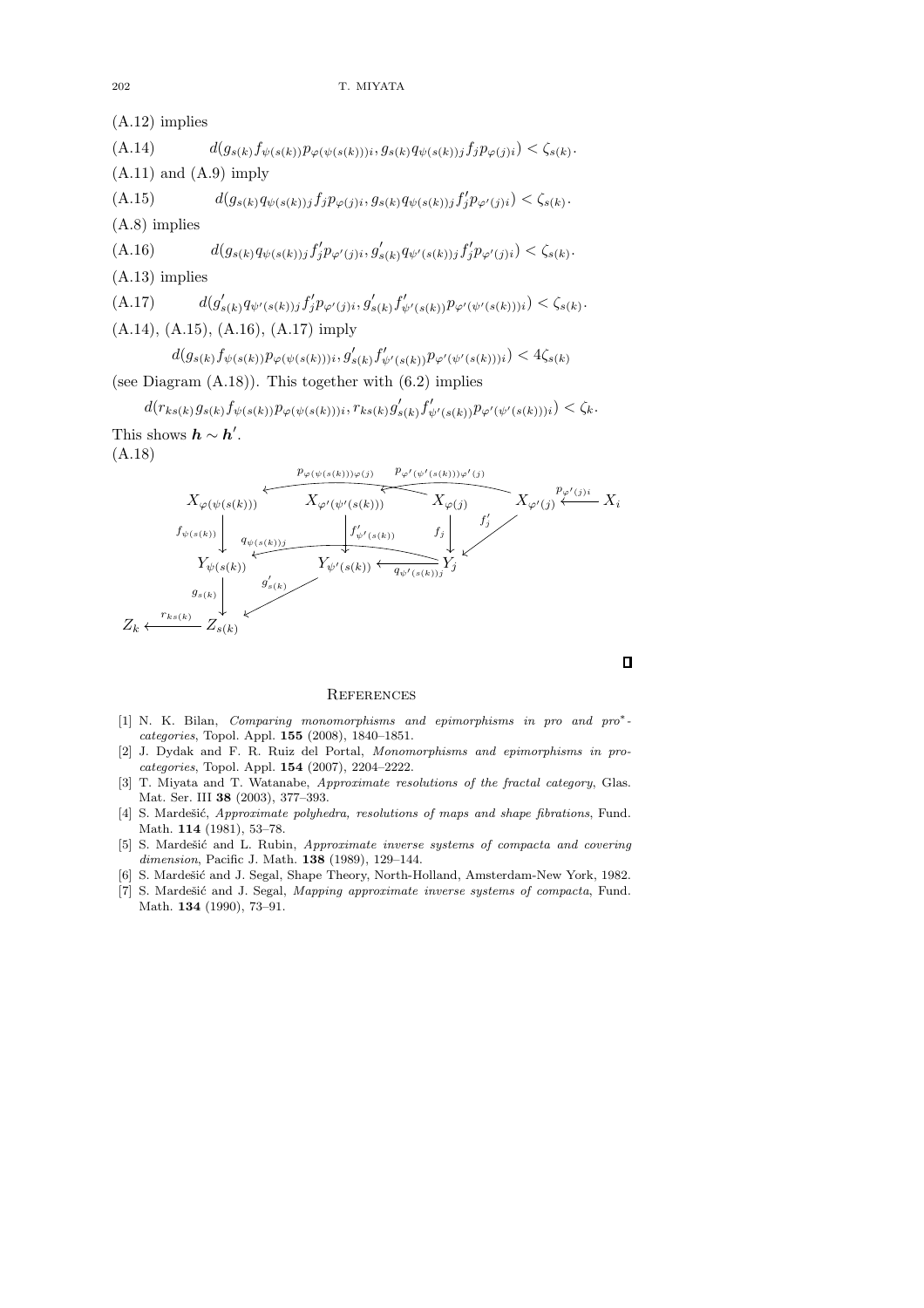## 202 T. MIYATA

(A.12) implies  $(A.14)$   $d(g_{s(k)}f_{\psi(s(k))}p_{\varphi(\psi(s(k)))i}, g_{s(k)}q_{\psi(s(k))j}f_jp_{\varphi(j)i}) < \zeta_{s(k)}$ .  $(A.11)$  and  $(A.9)$  imply (A.15)  $d(g_{s(k)}q_{\psi(s(k))j}f_jp_{\varphi(j)i}, g_{s(k)}q_{\psi(s(k))j}f'_jp_{\varphi'(j)i}) < \zeta_{s(k)}$ . (A.8) implies (A.16)  $d(g_{s(k)}q_{\psi(s(k))j}f'_j p_{\varphi'(j)i}, g'_{s(k)}q_{\psi'(s(k))j}f'_j p_{\varphi'(j)i}) < \zeta_{s(k)}$ . (A.13) implies  $(A.17)$  $\int'_{s(k)} q_{\psi'(s(k))j} f'_j p_{\varphi'(j)i}, g'_{s(k)} f'_{\psi'(s(k))} p_{\varphi'( \psi'(s(k)))i} \big) \langle \zeta_{s(k)} \rangle.$ (A.14), (A.15), (A.16), (A.17) imply  $d(g_{s(k)}f_{\psi(s(k))}p_{\varphi(\psi(s(k)))i}, g'_{s(k)}f'_{\psi'(s(k))}p_{\varphi'(\psi'(s(k)))i}) < 4\zeta_{s(k)}$ (see Diagram (A.18)). This together with (6.2) implies

 $d(r_{ks(k)}g_{s(k)}f_{\psi(s(k))}p_{\varphi(\psi(s(k)))i}, r_{ks(k)}g'_{s(k)}f'_{\psi'(s(k))}p_{\varphi'(\psi'(s(k)))i}) < \zeta_k.$ 

This shows  $h \sim h'$ .





 $\Box$ 

## **REFERENCES**

- [1] N. K. Bilan, *Comparing monomorphisms and epimorphisms in pro and pro*\*categories, Topol. Appl. 155 (2008), 1840–1851.
- [2] J. Dydak and F. R. Ruiz del Portal, Monomorphisms and epimorphisms in procategories, Topol. Appl. 154 (2007), 2204–2222.
- [3] T. Miyata and T. Watanabe, Approximate resolutions of the fractal category, Glas. Mat. Ser. III 38 (2003), 377–393.
- [4] S. Mardešić, Approximate polyhedra, resolutions of maps and shape fibrations, Fund. Math. 114 (1981), 53–78.
- [5] S. Mardešić and L. Rubin, Approximate inverse systems of compacta and covering dimension, Pacific J. Math. 138 (1989), 129–144.
- [6] S. Mardešić and J. Segal, Shape Theory, North-Holland, Amsterdam-New York, 1982.
- [7] S. Mardešić and J. Segal, *Mapping approximate inverse systems of compacta*, Fund. Math. 134 (1990), 73–91.